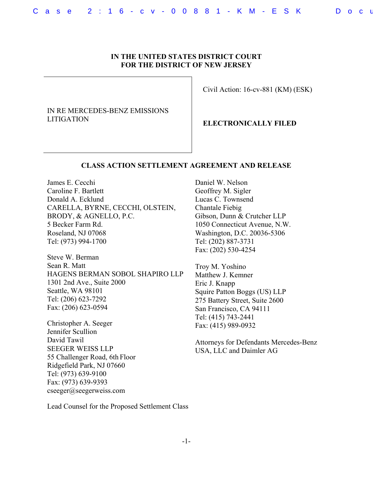# **IN THE UNITED STATES DISTRICT COURT FOR THE DISTRICT OF NEW JERSEY**

IN RE MERCEDES-BENZ EMISSIONS LITIGATION

Civil Action: 16-cv-881 (KM) (ESK)

**ELECTRONICALLY FILED** 

### **CLASS ACTION SETTLEMENT AGREEMENT AND RELEASE**

James E. Cecchi Caroline F. Bartlett Donald A. Ecklund CARELLA, BYRNE, CECCHI, OLSTEIN, BRODY, & AGNELLO, P.C. 5 Becker Farm Rd. Roseland, NJ 07068 Tel: (973) 994-1700

Steve W. Berman Sean R. Matt HAGENS BERMAN SOBOL SHAPIRO LLP 1301 2nd Ave., Suite 2000 Seattle, WA 98101 Tel: (206) 623-7292 Fax: (206) 623-0594

Christopher A. Seeger Jennifer Scullion David Tawil SEEGER WEISS LLP 55 Challenger Road, 6th Floor Ridgefield Park, NJ 07660 Tel: (973) 639-9100 Fax: (973) 639-9393 cseeger@seegerweiss.com

Daniel W. Nelson Geoffrey M. Sigler Lucas C. Townsend Chantale Fiebig Gibson, Dunn & Crutcher LLP 1050 Connecticut Avenue, N.W. Washington, D.C. 20036-5306 Tel: (202) 887-3731 Fax: (202) 530-4254

Troy M. Yoshino Matthew J. Kemner Eric J. Knapp Squire Patton Boggs (US) LLP 275 Battery Street, Suite 2600 San Francisco, CA 94111 Tel: (415) 743-2441 Fax: (415) 989-0932

Attorneys for Defendants Mercedes-Benz USA, LLC and Daimler AG

Lead Counsel for the Proposed Settlement Class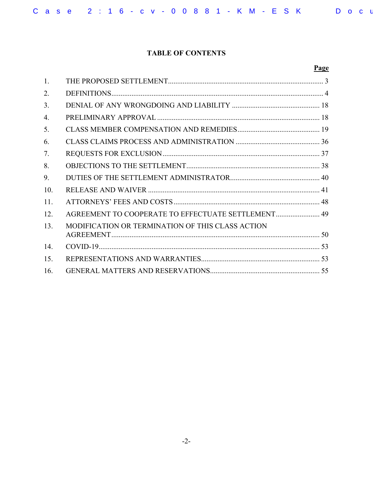# **TABLE OF CONTENTS**

|     |                                                    | Page |
|-----|----------------------------------------------------|------|
| 1.  |                                                    |      |
| 2.  |                                                    |      |
| 3.  |                                                    |      |
| 4.  |                                                    |      |
| 5.  |                                                    |      |
| 6.  |                                                    |      |
| 7.  |                                                    |      |
| 8.  |                                                    |      |
| 9.  |                                                    |      |
| 10. |                                                    |      |
| 11. |                                                    |      |
| 12. | AGREEMENT TO COOPERATE TO EFFECTUATE SETTLEMENT 49 |      |
| 13. | MODIFICATION OR TERMINATION OF THIS CLASS ACTION   |      |
| 14. |                                                    |      |
| 15. |                                                    |      |
| 16. |                                                    |      |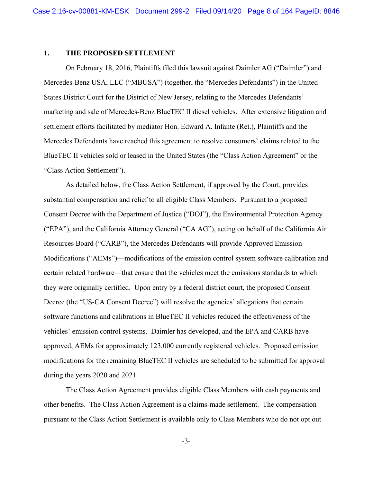#### **1. THE PROPOSED SETTLEMENT**

On February 18, 2016, Plaintiffs filed this lawsuit against Daimler AG ("Daimler") and Mercedes-Benz USA, LLC ("MBUSA") (together, the "Mercedes Defendants") in the United States District Court for the District of New Jersey, relating to the Mercedes Defendants' marketing and sale of Mercedes-Benz BlueTEC II diesel vehicles. After extensive litigation and settlement efforts facilitated by mediator Hon. Edward A. Infante (Ret.), Plaintiffs and the Mercedes Defendants have reached this agreement to resolve consumers' claims related to the BlueTEC II vehicles sold or leased in the United States (the "Class Action Agreement" or the "Class Action Settlement").

As detailed below, the Class Action Settlement, if approved by the Court, provides substantial compensation and relief to all eligible Class Members. Pursuant to a proposed Consent Decree with the Department of Justice ("DOJ"), the Environmental Protection Agency ("EPA"), and the California Attorney General ("CA AG"), acting on behalf of the California Air Resources Board ("CARB"), the Mercedes Defendants will provide Approved Emission Modifications ("AEMs")—modifications of the emission control system software calibration and certain related hardware—that ensure that the vehicles meet the emissions standards to which they were originally certified. Upon entry by a federal district court, the proposed Consent Decree (the "US-CA Consent Decree") will resolve the agencies' allegations that certain software functions and calibrations in BlueTEC II vehicles reduced the effectiveness of the vehicles' emission control systems. Daimler has developed, and the EPA and CARB have approved, AEMs for approximately 123,000 currently registered vehicles. Proposed emission modifications for the remaining BlueTEC II vehicles are scheduled to be submitted for approval during the years 2020 and 2021.

The Class Action Agreement provides eligible Class Members with cash payments and other benefits. The Class Action Agreement is a claims-made settlement. The compensation pursuant to the Class Action Settlement is available only to Class Members who do not opt out

-3-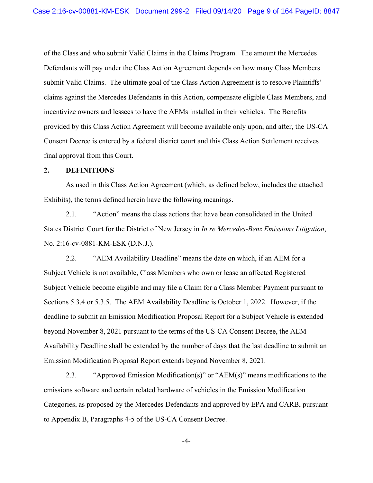of the Class and who submit Valid Claims in the Claims Program. The amount the Mercedes Defendants will pay under the Class Action Agreement depends on how many Class Members submit Valid Claims. The ultimate goal of the Class Action Agreement is to resolve Plaintiffs' claims against the Mercedes Defendants in this Action, compensate eligible Class Members, and incentivize owners and lessees to have the AEMs installed in their vehicles. The Benefits provided by this Class Action Agreement will become available only upon, and after, the US-CA Consent Decree is entered by a federal district court and this Class Action Settlement receives final approval from this Court.

### **2. DEFINITIONS**

As used in this Class Action Agreement (which, as defined below, includes the attached Exhibits), the terms defined herein have the following meanings.

2.1. "Action" means the class actions that have been consolidated in the United States District Court for the District of New Jersey in *In re Mercedes-Benz Emissions Litigation*, No. 2:16-cv-0881-KM-ESK (D.N.J.).

2.2. "AEM Availability Deadline" means the date on which, if an AEM for a Subject Vehicle is not available, Class Members who own or lease an affected Registered Subject Vehicle become eligible and may file a Claim for a Class Member Payment pursuant to Sections 5.3.4 or 5.3.5. The AEM Availability Deadline is October 1, 2022. However, if the deadline to submit an Emission Modification Proposal Report for a Subject Vehicle is extended beyond November 8, 2021 pursuant to the terms of the US-CA Consent Decree, the AEM Availability Deadline shall be extended by the number of days that the last deadline to submit an Emission Modification Proposal Report extends beyond November 8, 2021.

2.3. "Approved Emission Modification(s)" or "AEM(s)" means modifications to the emissions software and certain related hardware of vehicles in the Emission Modification Categories, as proposed by the Mercedes Defendants and approved by EPA and CARB, pursuant to Appendix B, Paragraphs 4-5 of the US-CA Consent Decree.

-4-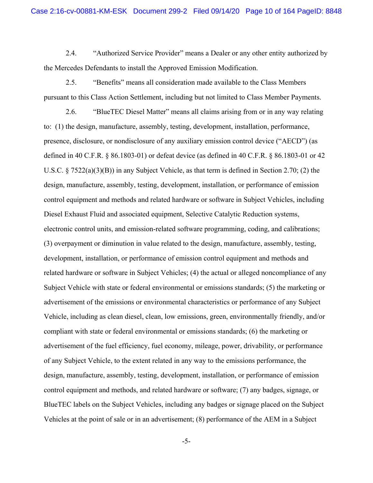2.4. "Authorized Service Provider" means a Dealer or any other entity authorized by the Mercedes Defendants to install the Approved Emission Modification.

2.5. "Benefits" means all consideration made available to the Class Members pursuant to this Class Action Settlement, including but not limited to Class Member Payments.

2.6. "BlueTEC Diesel Matter" means all claims arising from or in any way relating to: (1) the design, manufacture, assembly, testing, development, installation, performance, presence, disclosure, or nondisclosure of any auxiliary emission control device ("AECD") (as defined in 40 C.F.R. § 86.1803-01) or defeat device (as defined in 40 C.F.R. § 86.1803-01 or 42 U.S.C. § 7522(a)(3)(B)) in any Subject Vehicle, as that term is defined in Section 2.70; (2) the design, manufacture, assembly, testing, development, installation, or performance of emission control equipment and methods and related hardware or software in Subject Vehicles, including Diesel Exhaust Fluid and associated equipment, Selective Catalytic Reduction systems, electronic control units, and emission-related software programming, coding, and calibrations; (3) overpayment or diminution in value related to the design, manufacture, assembly, testing, development, installation, or performance of emission control equipment and methods and related hardware or software in Subject Vehicles; (4) the actual or alleged noncompliance of any Subject Vehicle with state or federal environmental or emissions standards; (5) the marketing or advertisement of the emissions or environmental characteristics or performance of any Subject Vehicle, including as clean diesel, clean, low emissions, green, environmentally friendly, and/or compliant with state or federal environmental or emissions standards; (6) the marketing or advertisement of the fuel efficiency, fuel economy, mileage, power, drivability, or performance of any Subject Vehicle, to the extent related in any way to the emissions performance, the design, manufacture, assembly, testing, development, installation, or performance of emission control equipment and methods, and related hardware or software; (7) any badges, signage, or BlueTEC labels on the Subject Vehicles, including any badges or signage placed on the Subject Vehicles at the point of sale or in an advertisement; (8) performance of the AEM in a Subject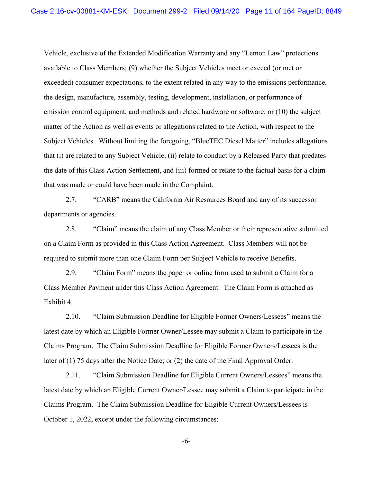Vehicle, exclusive of the Extended Modification Warranty and any "Lemon Law" protections available to Class Members; (9) whether the Subject Vehicles meet or exceed (or met or exceeded) consumer expectations, to the extent related in any way to the emissions performance, the design, manufacture, assembly, testing, development, installation, or performance of emission control equipment, and methods and related hardware or software; or (10) the subject matter of the Action as well as events or allegations related to the Action, with respect to the Subject Vehicles. Without limiting the foregoing, "BlueTEC Diesel Matter" includes allegations that (i) are related to any Subject Vehicle, (ii) relate to conduct by a Released Party that predates the date of this Class Action Settlement, and (iii) formed or relate to the factual basis for a claim that was made or could have been made in the Complaint.

2.7. "CARB" means the California Air Resources Board and any of its successor departments or agencies.

2.8. "Claim" means the claim of any Class Member or their representative submitted on a Claim Form as provided in this Class Action Agreement. Class Members will not be required to submit more than one Claim Form per Subject Vehicle to receive Benefits.

2.9. "Claim Form" means the paper or online form used to submit a Claim for a Class Member Payment under this Class Action Agreement. The Claim Form is attached as Exhibit 4.

2.10. "Claim Submission Deadline for Eligible Former Owners/Lessees" means the latest date by which an Eligible Former Owner/Lessee may submit a Claim to participate in the Claims Program. The Claim Submission Deadline for Eligible Former Owners/Lessees is the later of (1) 75 days after the Notice Date; or (2) the date of the Final Approval Order.

2.11. "Claim Submission Deadline for Eligible Current Owners/Lessees" means the latest date by which an Eligible Current Owner/Lessee may submit a Claim to participate in the Claims Program. The Claim Submission Deadline for Eligible Current Owners/Lessees is October 1, 2022, except under the following circumstances:

-6-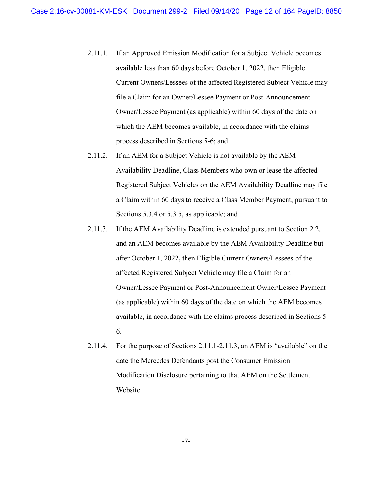- 2.11.1. If an Approved Emission Modification for a Subject Vehicle becomes available less than 60 days before October 1, 2022, then Eligible Current Owners/Lessees of the affected Registered Subject Vehicle may file a Claim for an Owner/Lessee Payment or Post-Announcement Owner/Lessee Payment (as applicable) within 60 days of the date on which the AEM becomes available, in accordance with the claims process described in Sections 5-6; and
- 2.11.2. If an AEM for a Subject Vehicle is not available by the AEM Availability Deadline, Class Members who own or lease the affected Registered Subject Vehicles on the AEM Availability Deadline may file a Claim within 60 days to receive a Class Member Payment, pursuant to Sections 5.3.4 or 5.3.5, as applicable; and
- 2.11.3. If the AEM Availability Deadline is extended pursuant to Section 2.2, and an AEM becomes available by the AEM Availability Deadline but after October 1, 2022**,** then Eligible Current Owners/Lessees of the affected Registered Subject Vehicle may file a Claim for an Owner/Lessee Payment or Post-Announcement Owner/Lessee Payment (as applicable) within 60 days of the date on which the AEM becomes available, in accordance with the claims process described in Sections 5- 6.
- 2.11.4. For the purpose of Sections 2.11.1-2.11.3, an AEM is "available" on the date the Mercedes Defendants post the Consumer Emission Modification Disclosure pertaining to that AEM on the Settlement Website.

-7-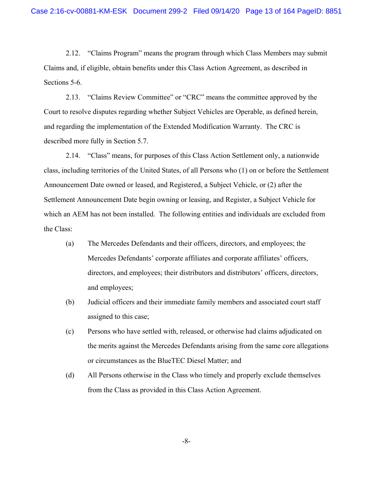2.12. "Claims Program" means the program through which Class Members may submit Claims and, if eligible, obtain benefits under this Class Action Agreement, as described in Sections 5-6.

2.13. "Claims Review Committee" or "CRC" means the committee approved by the Court to resolve disputes regarding whether Subject Vehicles are Operable, as defined herein, and regarding the implementation of the Extended Modification Warranty. The CRC is described more fully in Section 5.7.

2.14. "Class" means, for purposes of this Class Action Settlement only, a nationwide class, including territories of the United States, of all Persons who (1) on or before the Settlement Announcement Date owned or leased, and Registered, a Subject Vehicle, or (2) after the Settlement Announcement Date begin owning or leasing, and Register, a Subject Vehicle for which an AEM has not been installed. The following entities and individuals are excluded from the Class:

- (a) The Mercedes Defendants and their officers, directors, and employees; the Mercedes Defendants' corporate affiliates and corporate affiliates' officers, directors, and employees; their distributors and distributors' officers, directors, and employees;
- (b) Judicial officers and their immediate family members and associated court staff assigned to this case;
- (c) Persons who have settled with, released, or otherwise had claims adjudicated on the merits against the Mercedes Defendants arising from the same core allegations or circumstances as the BlueTEC Diesel Matter; and
- (d) All Persons otherwise in the Class who timely and properly exclude themselves from the Class as provided in this Class Action Agreement.

-8-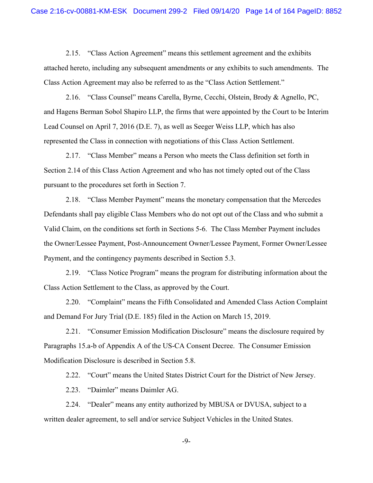2.15. "Class Action Agreement" means this settlement agreement and the exhibits attached hereto, including any subsequent amendments or any exhibits to such amendments. The Class Action Agreement may also be referred to as the "Class Action Settlement."

2.16. "Class Counsel" means Carella, Byrne, Cecchi, Olstein, Brody & Agnello, PC, and Hagens Berman Sobol Shapiro LLP, the firms that were appointed by the Court to be Interim Lead Counsel on April 7, 2016 (D.E. 7), as well as Seeger Weiss LLP, which has also represented the Class in connection with negotiations of this Class Action Settlement.

2.17. "Class Member" means a Person who meets the Class definition set forth in Section 2.14 of this Class Action Agreement and who has not timely opted out of the Class pursuant to the procedures set forth in Section 7.

2.18. "Class Member Payment" means the monetary compensation that the Mercedes Defendants shall pay eligible Class Members who do not opt out of the Class and who submit a Valid Claim, on the conditions set forth in Sections 5-6. The Class Member Payment includes the Owner/Lessee Payment, Post-Announcement Owner/Lessee Payment, Former Owner/Lessee Payment, and the contingency payments described in Section 5.3.

2.19. "Class Notice Program" means the program for distributing information about the Class Action Settlement to the Class, as approved by the Court.

2.20. "Complaint" means the Fifth Consolidated and Amended Class Action Complaint and Demand For Jury Trial (D.E. 185) filed in the Action on March 15, 2019.

2.21. "Consumer Emission Modification Disclosure" means the disclosure required by Paragraphs 15.a-b of Appendix A of the US-CA Consent Decree. The Consumer Emission Modification Disclosure is described in Section 5.8.

2.22. "Court" means the United States District Court for the District of New Jersey.

2.23. "Daimler" means Daimler AG.

2.24. "Dealer" means any entity authorized by MBUSA or DVUSA, subject to a written dealer agreement, to sell and/or service Subject Vehicles in the United States.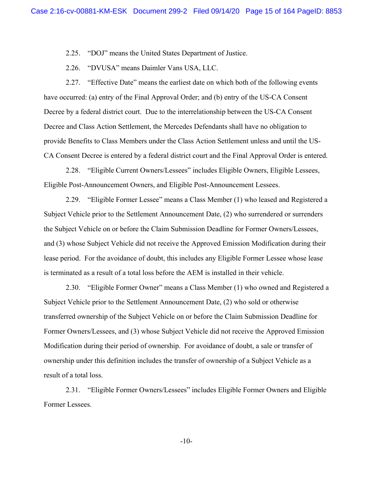2.25. "DOJ" means the United States Department of Justice.

2.26. "DVUSA" means Daimler Vans USA, LLC.

2.27. "Effective Date" means the earliest date on which both of the following events have occurred: (a) entry of the Final Approval Order; and (b) entry of the US-CA Consent Decree by a federal district court. Due to the interrelationship between the US-CA Consent Decree and Class Action Settlement, the Mercedes Defendants shall have no obligation to provide Benefits to Class Members under the Class Action Settlement unless and until the US-CA Consent Decree is entered by a federal district court and the Final Approval Order is entered.

2.28. "Eligible Current Owners/Lessees" includes Eligible Owners, Eligible Lessees, Eligible Post-Announcement Owners, and Eligible Post-Announcement Lessees.

2.29. "Eligible Former Lessee" means a Class Member (1) who leased and Registered a Subject Vehicle prior to the Settlement Announcement Date, (2) who surrendered or surrenders the Subject Vehicle on or before the Claim Submission Deadline for Former Owners/Lessees, and (3) whose Subject Vehicle did not receive the Approved Emission Modification during their lease period. For the avoidance of doubt, this includes any Eligible Former Lessee whose lease is terminated as a result of a total loss before the AEM is installed in their vehicle.

2.30. "Eligible Former Owner" means a Class Member (1) who owned and Registered a Subject Vehicle prior to the Settlement Announcement Date, (2) who sold or otherwise transferred ownership of the Subject Vehicle on or before the Claim Submission Deadline for Former Owners/Lessees, and (3) whose Subject Vehicle did not receive the Approved Emission Modification during their period of ownership. For avoidance of doubt, a sale or transfer of ownership under this definition includes the transfer of ownership of a Subject Vehicle as a result of a total loss.

2.31. "Eligible Former Owners/Lessees" includes Eligible Former Owners and Eligible Former Lessees.

-10-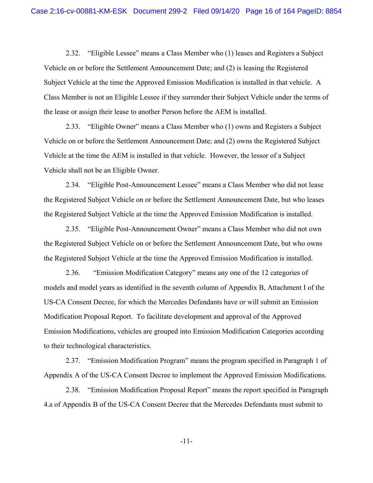2.32. "Eligible Lessee" means a Class Member who (1) leases and Registers a Subject Vehicle on or before the Settlement Announcement Date; and (2) is leasing the Registered Subject Vehicle at the time the Approved Emission Modification is installed in that vehicle. A Class Member is not an Eligible Lessee if they surrender their Subject Vehicle under the terms of the lease or assign their lease to another Person before the AEM is installed.

2.33. "Eligible Owner" means a Class Member who (1) owns and Registers a Subject Vehicle on or before the Settlement Announcement Date; and (2) owns the Registered Subject Vehicle at the time the AEM is installed in that vehicle. However, the lessor of a Subject Vehicle shall not be an Eligible Owner.

2.34. "Eligible Post-Announcement Lessee" means a Class Member who did not lease the Registered Subject Vehicle on or before the Settlement Announcement Date, but who leases the Registered Subject Vehicle at the time the Approved Emission Modification is installed.

2.35. "Eligible Post-Announcement Owner" means a Class Member who did not own the Registered Subject Vehicle on or before the Settlement Announcement Date, but who owns the Registered Subject Vehicle at the time the Approved Emission Modification is installed.

2.36. "Emission Modification Category" means any one of the 12 categories of models and model years as identified in the seventh column of Appendix B, Attachment I of the US-CA Consent Decree, for which the Mercedes Defendants have or will submit an Emission Modification Proposal Report. To facilitate development and approval of the Approved Emission Modifications, vehicles are grouped into Emission Modification Categories according to their technological characteristics.

2.37. "Emission Modification Program" means the program specified in Paragraph 1 of Appendix A of the US-CA Consent Decree to implement the Approved Emission Modifications.

2.38. "Emission Modification Proposal Report" means the report specified in Paragraph 4.a of Appendix B of the US-CA Consent Decree that the Mercedes Defendants must submit to

-11-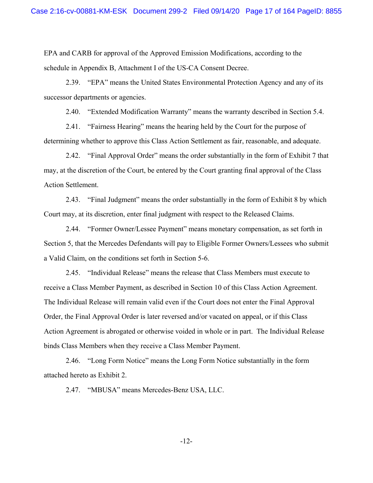EPA and CARB for approval of the Approved Emission Modifications, according to the schedule in Appendix B, Attachment I of the US-CA Consent Decree.

2.39. "EPA" means the United States Environmental Protection Agency and any of its successor departments or agencies.

2.40. "Extended Modification Warranty" means the warranty described in Section 5.4.

2.41. "Fairness Hearing" means the hearing held by the Court for the purpose of determining whether to approve this Class Action Settlement as fair, reasonable, and adequate.

2.42. "Final Approval Order" means the order substantially in the form of Exhibit 7 that may, at the discretion of the Court, be entered by the Court granting final approval of the Class Action Settlement.

2.43. "Final Judgment" means the order substantially in the form of Exhibit 8 by which Court may, at its discretion, enter final judgment with respect to the Released Claims.

2.44. "Former Owner/Lessee Payment" means monetary compensation, as set forth in Section 5, that the Mercedes Defendants will pay to Eligible Former Owners/Lessees who submit a Valid Claim, on the conditions set forth in Section 5-6.

2.45. "Individual Release" means the release that Class Members must execute to receive a Class Member Payment, as described in Section 10 of this Class Action Agreement. The Individual Release will remain valid even if the Court does not enter the Final Approval Order, the Final Approval Order is later reversed and/or vacated on appeal, or if this Class Action Agreement is abrogated or otherwise voided in whole or in part. The Individual Release binds Class Members when they receive a Class Member Payment.

2.46. "Long Form Notice" means the Long Form Notice substantially in the form attached hereto as Exhibit 2.

2.47. "MBUSA" means Mercedes-Benz USA, LLC.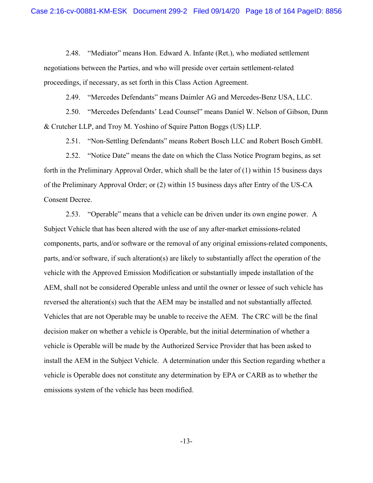2.48. "Mediator" means Hon. Edward A. Infante (Ret.), who mediated settlement negotiations between the Parties, and who will preside over certain settlement-related proceedings, if necessary, as set forth in this Class Action Agreement.

2.49. "Mercedes Defendants" means Daimler AG and Mercedes-Benz USA, LLC.

2.50. "Mercedes Defendants' Lead Counsel" means Daniel W. Nelson of Gibson, Dunn & Crutcher LLP, and Troy M. Yoshino of Squire Patton Boggs (US) LLP.

2.51. "Non-Settling Defendants" means Robert Bosch LLC and Robert Bosch GmbH.

2.52. "Notice Date" means the date on which the Class Notice Program begins, as set forth in the Preliminary Approval Order, which shall be the later of (1) within 15 business days of the Preliminary Approval Order; or (2) within 15 business days after Entry of the US-CA Consent Decree.

2.53. "Operable" means that a vehicle can be driven under its own engine power. A Subject Vehicle that has been altered with the use of any after-market emissions-related components, parts, and/or software or the removal of any original emissions-related components, parts, and/or software, if such alteration(s) are likely to substantially affect the operation of the vehicle with the Approved Emission Modification or substantially impede installation of the AEM, shall not be considered Operable unless and until the owner or lessee of such vehicle has reversed the alteration(s) such that the AEM may be installed and not substantially affected. Vehicles that are not Operable may be unable to receive the AEM. The CRC will be the final decision maker on whether a vehicle is Operable, but the initial determination of whether a vehicle is Operable will be made by the Authorized Service Provider that has been asked to install the AEM in the Subject Vehicle. A determination under this Section regarding whether a vehicle is Operable does not constitute any determination by EPA or CARB as to whether the emissions system of the vehicle has been modified.

-13-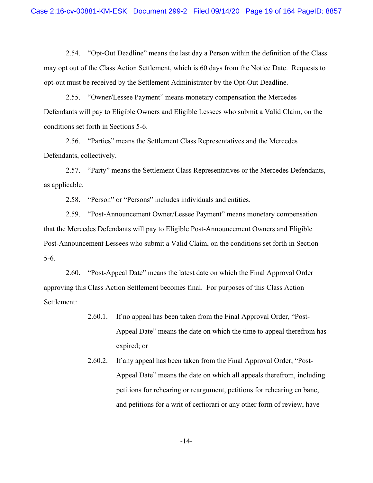2.54. "Opt-Out Deadline" means the last day a Person within the definition of the Class may opt out of the Class Action Settlement, which is 60 days from the Notice Date. Requests to opt-out must be received by the Settlement Administrator by the Opt-Out Deadline.

2.55. "Owner/Lessee Payment" means monetary compensation the Mercedes Defendants will pay to Eligible Owners and Eligible Lessees who submit a Valid Claim, on the conditions set forth in Sections 5-6.

2.56. "Parties" means the Settlement Class Representatives and the Mercedes Defendants, collectively.

2.57. "Party" means the Settlement Class Representatives or the Mercedes Defendants, as applicable.

2.58. "Person" or "Persons" includes individuals and entities.

2.59. "Post-Announcement Owner/Lessee Payment" means monetary compensation that the Mercedes Defendants will pay to Eligible Post-Announcement Owners and Eligible Post-Announcement Lessees who submit a Valid Claim, on the conditions set forth in Section 5-6.

2.60. "Post-Appeal Date" means the latest date on which the Final Approval Order approving this Class Action Settlement becomes final. For purposes of this Class Action Settlement:

- 2.60.1. If no appeal has been taken from the Final Approval Order, "Post-Appeal Date" means the date on which the time to appeal therefrom has expired; or
- 2.60.2. If any appeal has been taken from the Final Approval Order, "Post-Appeal Date" means the date on which all appeals therefrom, including petitions for rehearing or reargument, petitions for rehearing en banc, and petitions for a writ of certiorari or any other form of review, have

-14-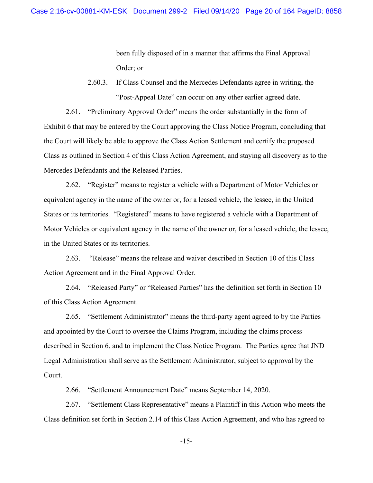been fully disposed of in a manner that affirms the Final Approval Order; or

2.60.3. If Class Counsel and the Mercedes Defendants agree in writing, the "Post-Appeal Date" can occur on any other earlier agreed date.

2.61. "Preliminary Approval Order" means the order substantially in the form of Exhibit 6 that may be entered by the Court approving the Class Notice Program, concluding that the Court will likely be able to approve the Class Action Settlement and certify the proposed Class as outlined in Section 4 of this Class Action Agreement, and staying all discovery as to the Mercedes Defendants and the Released Parties.

2.62. "Register" means to register a vehicle with a Department of Motor Vehicles or equivalent agency in the name of the owner or, for a leased vehicle, the lessee, in the United States or its territories. "Registered" means to have registered a vehicle with a Department of Motor Vehicles or equivalent agency in the name of the owner or, for a leased vehicle, the lessee, in the United States or its territories.

2.63. "Release" means the release and waiver described in Section 10 of this Class Action Agreement and in the Final Approval Order.

2.64. "Released Party" or "Released Parties" has the definition set forth in Section 10 of this Class Action Agreement.

2.65. "Settlement Administrator" means the third-party agent agreed to by the Parties and appointed by the Court to oversee the Claims Program, including the claims process described in Section 6, and to implement the Class Notice Program. The Parties agree that JND Legal Administration shall serve as the Settlement Administrator, subject to approval by the Court.

2.66. "Settlement Announcement Date" means September 14, 2020.

2.67. "Settlement Class Representative" means a Plaintiff in this Action who meets the Class definition set forth in Section 2.14 of this Class Action Agreement, and who has agreed to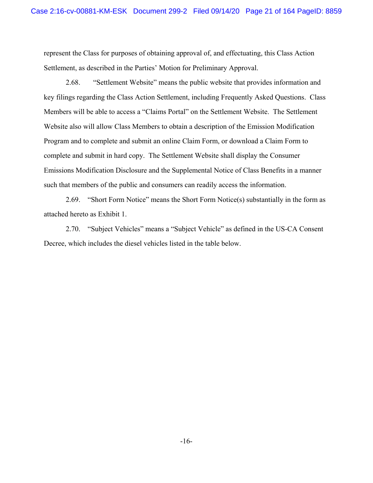represent the Class for purposes of obtaining approval of, and effectuating, this Class Action Settlement, as described in the Parties' Motion for Preliminary Approval.

2.68. "Settlement Website" means the public website that provides information and key filings regarding the Class Action Settlement, including Frequently Asked Questions. Class Members will be able to access a "Claims Portal" on the Settlement Website. The Settlement Website also will allow Class Members to obtain a description of the Emission Modification Program and to complete and submit an online Claim Form, or download a Claim Form to complete and submit in hard copy. The Settlement Website shall display the Consumer Emissions Modification Disclosure and the Supplemental Notice of Class Benefits in a manner such that members of the public and consumers can readily access the information.

2.69. "Short Form Notice" means the Short Form Notice(s) substantially in the form as attached hereto as Exhibit 1.

2.70. "Subject Vehicles" means a "Subject Vehicle" as defined in the US-CA Consent Decree, which includes the diesel vehicles listed in the table below.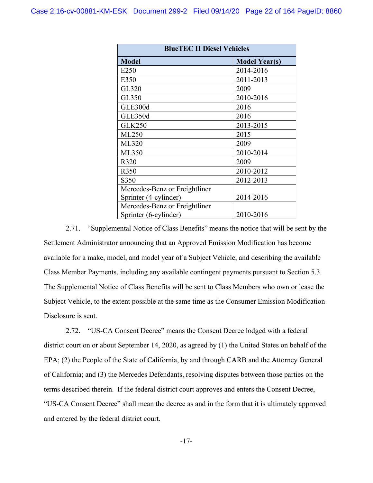| <b>BlueTEC II Diesel Vehicles</b> |                      |  |  |
|-----------------------------------|----------------------|--|--|
| <b>Model</b>                      | <b>Model Year(s)</b> |  |  |
| E <sub>250</sub>                  | 2014-2016            |  |  |
| E350                              | 2011-2013            |  |  |
| GL320                             | 2009                 |  |  |
| GL350                             | 2010-2016            |  |  |
| GLE300d                           | 2016                 |  |  |
| GLE350d                           | 2016                 |  |  |
| <b>GLK250</b>                     | 2013-2015            |  |  |
| ML250                             | 2015                 |  |  |
| <b>ML320</b>                      | 2009                 |  |  |
| ML350                             | 2010-2014            |  |  |
| R320                              | 2009                 |  |  |
| R350                              | 2010-2012            |  |  |
| S350                              | 2012-2013            |  |  |
| Mercedes-Benz or Freightliner     |                      |  |  |
| Sprinter (4-cylinder)             | 2014-2016            |  |  |
| Mercedes-Benz or Freightliner     |                      |  |  |
| Sprinter (6-cylinder)             | 2010-2016            |  |  |

2.71. "Supplemental Notice of Class Benefits" means the notice that will be sent by the Settlement Administrator announcing that an Approved Emission Modification has become available for a make, model, and model year of a Subject Vehicle, and describing the available Class Member Payments, including any available contingent payments pursuant to Section 5.3. The Supplemental Notice of Class Benefits will be sent to Class Members who own or lease the Subject Vehicle, to the extent possible at the same time as the Consumer Emission Modification Disclosure is sent.

2.72. "US-CA Consent Decree" means the Consent Decree lodged with a federal district court on or about September 14, 2020, as agreed by (1) the United States on behalf of the EPA; (2) the People of the State of California, by and through CARB and the Attorney General of California; and (3) the Mercedes Defendants, resolving disputes between those parties on the terms described therein. If the federal district court approves and enters the Consent Decree, "US-CA Consent Decree" shall mean the decree as and in the form that it is ultimately approved and entered by the federal district court.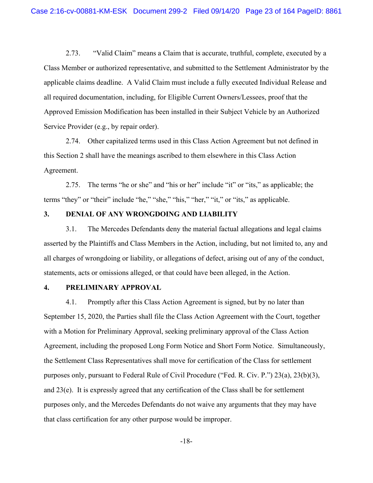2.73. "Valid Claim" means a Claim that is accurate, truthful, complete, executed by a Class Member or authorized representative, and submitted to the Settlement Administrator by the applicable claims deadline. A Valid Claim must include a fully executed Individual Release and all required documentation, including, for Eligible Current Owners/Lessees, proof that the Approved Emission Modification has been installed in their Subject Vehicle by an Authorized Service Provider (e.g., by repair order).

2.74. Other capitalized terms used in this Class Action Agreement but not defined in this Section 2 shall have the meanings ascribed to them elsewhere in this Class Action Agreement.

2.75. The terms "he or she" and "his or her" include "it" or "its," as applicable; the terms "they" or "their" include "he," "she," "his," "her," "it," or "its," as applicable.

# **3. DENIAL OF ANY WRONGDOING AND LIABILITY**

3.1. The Mercedes Defendants deny the material factual allegations and legal claims asserted by the Plaintiffs and Class Members in the Action, including, but not limited to, any and all charges of wrongdoing or liability, or allegations of defect, arising out of any of the conduct, statements, acts or omissions alleged, or that could have been alleged, in the Action.

#### **4. PRELIMINARY APPROVAL**

4.1. Promptly after this Class Action Agreement is signed, but by no later than September 15, 2020, the Parties shall file the Class Action Agreement with the Court, together with a Motion for Preliminary Approval, seeking preliminary approval of the Class Action Agreement, including the proposed Long Form Notice and Short Form Notice. Simultaneously, the Settlement Class Representatives shall move for certification of the Class for settlement purposes only, pursuant to Federal Rule of Civil Procedure ("Fed. R. Civ. P.") 23(a), 23(b)(3), and 23(e). It is expressly agreed that any certification of the Class shall be for settlement purposes only, and the Mercedes Defendants do not waive any arguments that they may have that class certification for any other purpose would be improper.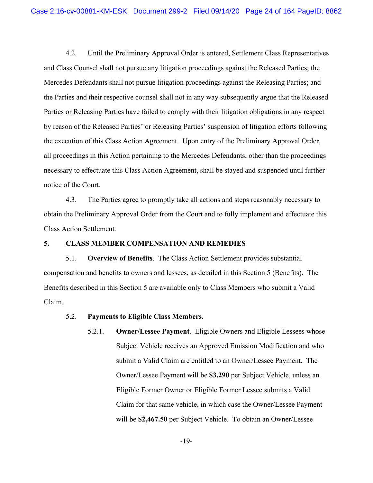4.2. Until the Preliminary Approval Order is entered, Settlement Class Representatives and Class Counsel shall not pursue any litigation proceedings against the Released Parties; the Mercedes Defendants shall not pursue litigation proceedings against the Releasing Parties; and the Parties and their respective counsel shall not in any way subsequently argue that the Released Parties or Releasing Parties have failed to comply with their litigation obligations in any respect by reason of the Released Parties' or Releasing Parties' suspension of litigation efforts following the execution of this Class Action Agreement. Upon entry of the Preliminary Approval Order, all proceedings in this Action pertaining to the Mercedes Defendants, other than the proceedings necessary to effectuate this Class Action Agreement, shall be stayed and suspended until further notice of the Court.

4.3. The Parties agree to promptly take all actions and steps reasonably necessary to obtain the Preliminary Approval Order from the Court and to fully implement and effectuate this Class Action Settlement.

### **5. CLASS MEMBER COMPENSATION AND REMEDIES**

5.1. **Overview of Benefits**.The Class Action Settlement provides substantial compensation and benefits to owners and lessees, as detailed in this Section 5 (Benefits). The Benefits described in this Section 5 are available only to Class Members who submit a Valid Claim.

- 5.2. **Payments to Eligible Class Members.** 
	- 5.2.1. **Owner/Lessee Payment**. Eligible Owners and Eligible Lessees whose Subject Vehicle receives an Approved Emission Modification and who submit a Valid Claim are entitled to an Owner/Lessee Payment. The Owner/Lessee Payment will be **\$3,290** per Subject Vehicle, unless an Eligible Former Owner or Eligible Former Lessee submits a Valid Claim for that same vehicle, in which case the Owner/Lessee Payment will be **\$2,467.50** per Subject Vehicle.To obtain an Owner/Lessee

-19-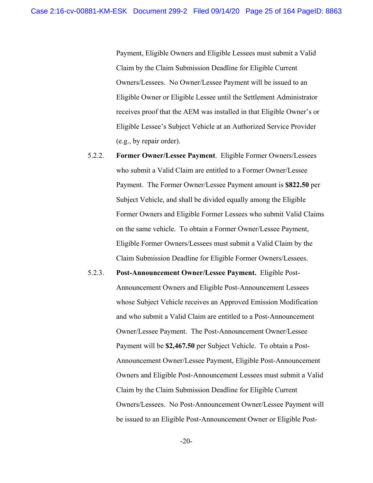Payment, Eligible Owners and Eligible Lessees must submit a Valid Claim by the Claim Submission Deadline for Eligible Current Owners/Lessees. No Owner/Lessee Payment will be issued to an Eligible Owner or Eligible Lessee until the Settlement Administrator receives proof that the AEM was installed in that Eligible Owner's or Eligible Lessee's Subject Vehicle at an Authorized Service Provider (e.g., by repair order).

- 5.2.2. **Former Owner/Lessee Payment**. Eligible Former Owners/Lessees who submit a Valid Claim are entitled to a Former Owner/Lessee Payment. The Former Owner/Lessee Payment amount is **\$822.50** per Subject Vehicle, and shall be divided equally among the Eligible Former Owners and Eligible Former Lessees who submit Valid Claims on the same vehicle. To obtain a Former Owner/Lessee Payment, Eligible Former Owners/Lessees must submit a Valid Claim by the Claim Submission Deadline for Eligible Former Owners/Lessees.
- 5.2.3. **Post-Announcement Owner/Lessee Payment.** Eligible Post-Announcement Owners and Eligible Post-Announcement Lessees whose Subject Vehicle receives an Approved Emission Modification and who submit a Valid Claim are entitled to a Post-Announcement Owner/Lessee Payment. The Post-Announcement Owner/Lessee Payment will be **\$2,467.50** per Subject Vehicle.To obtain a Post-Announcement Owner/Lessee Payment, Eligible Post-Announcement Owners and Eligible Post-Announcement Lessees must submit a Valid Claim by the Claim Submission Deadline for Eligible Current Owners/Lessees. No Post-Announcement Owner/Lessee Payment will be issued to an Eligible Post-Announcement Owner or Eligible Post-

-20-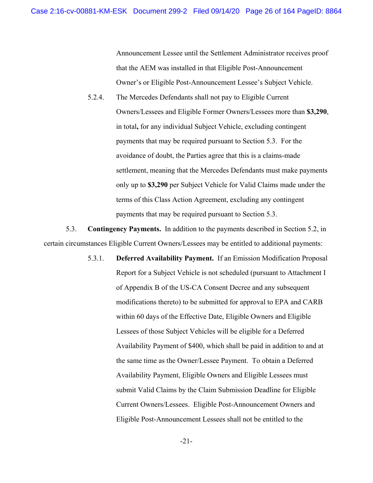Announcement Lessee until the Settlement Administrator receives proof that the AEM was installed in that Eligible Post-Announcement Owner's or Eligible Post-Announcement Lessee's Subject Vehicle.

5.2.4. The Mercedes Defendants shall not pay to Eligible Current Owners/Lessees and Eligible Former Owners/Lessees more than **\$3,290**, in total**,** for any individual Subject Vehicle, excluding contingent payments that may be required pursuant to Section 5.3. For the avoidance of doubt, the Parties agree that this is a claims-made settlement, meaning that the Mercedes Defendants must make payments only up to **\$3,290** per Subject Vehicle for Valid Claims made under the terms of this Class Action Agreement, excluding any contingent payments that may be required pursuant to Section 5.3.

5.3. **Contingency Payments.** In addition to the payments described in Section 5.2, in certain circumstances Eligible Current Owners/Lessees may be entitled to additional payments:

> 5.3.1. **Deferred Availability Payment.** If an Emission Modification Proposal Report for a Subject Vehicle is not scheduled (pursuant to Attachment I of Appendix B of the US-CA Consent Decree and any subsequent modifications thereto) to be submitted for approval to EPA and CARB within 60 days of the Effective Date, Eligible Owners and Eligible Lessees of those Subject Vehicles will be eligible for a Deferred Availability Payment of \$400, which shall be paid in addition to and at the same time as the Owner/Lessee Payment. To obtain a Deferred Availability Payment, Eligible Owners and Eligible Lessees must submit Valid Claims by the Claim Submission Deadline for Eligible Current Owners/Lessees. Eligible Post-Announcement Owners and Eligible Post-Announcement Lessees shall not be entitled to the

-21-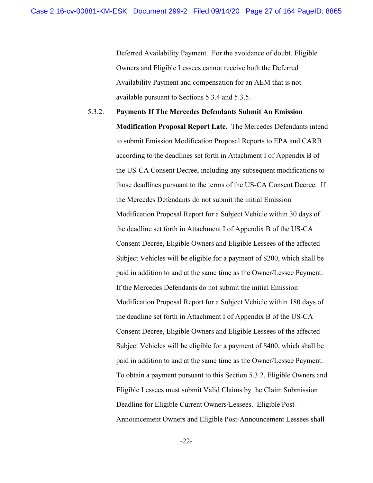Deferred Availability Payment. For the avoidance of doubt, Eligible Owners and Eligible Lessees cannot receive both the Deferred Availability Payment and compensation for an AEM that is not available pursuant to Sections 5.3.4 and 5.3.5.

5.3.2. **Payments If The Mercedes Defendants Submit An Emission Modification Proposal Report Late.** The Mercedes Defendants intend to submit Emission Modification Proposal Reports to EPA and CARB according to the deadlines set forth in Attachment I of Appendix B of the US-CA Consent Decree, including any subsequent modifications to those deadlines pursuant to the terms of the US-CA Consent Decree. If the Mercedes Defendants do not submit the initial Emission Modification Proposal Report for a Subject Vehicle within 30 days of the deadline set forth in Attachment I of Appendix B of the US-CA Consent Decree, Eligible Owners and Eligible Lessees of the affected Subject Vehicles will be eligible for a payment of \$200, which shall be paid in addition to and at the same time as the Owner/Lessee Payment. If the Mercedes Defendants do not submit the initial Emission Modification Proposal Report for a Subject Vehicle within 180 days of the deadline set forth in Attachment I of Appendix B of the US-CA Consent Decree, Eligible Owners and Eligible Lessees of the affected Subject Vehicles will be eligible for a payment of \$400, which shall be paid in addition to and at the same time as the Owner/Lessee Payment. To obtain a payment pursuant to this Section 5.3.2, Eligible Owners and Eligible Lessees must submit Valid Claims by the Claim Submission Deadline for Eligible Current Owners/Lessees. Eligible Post-Announcement Owners and Eligible Post-Announcement Lessees shall

-22-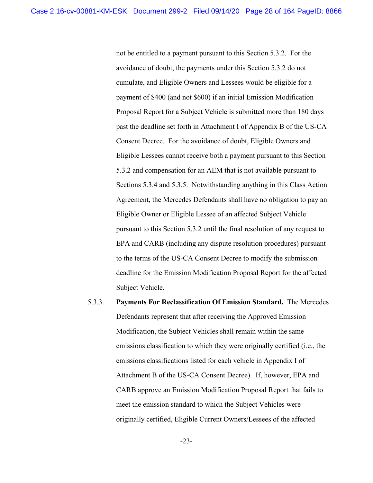not be entitled to a payment pursuant to this Section 5.3.2. For the avoidance of doubt, the payments under this Section 5.3.2 do not cumulate, and Eligible Owners and Lessees would be eligible for a payment of \$400 (and not \$600) if an initial Emission Modification Proposal Report for a Subject Vehicle is submitted more than 180 days past the deadline set forth in Attachment I of Appendix B of the US-CA Consent Decree. For the avoidance of doubt, Eligible Owners and Eligible Lessees cannot receive both a payment pursuant to this Section 5.3.2 and compensation for an AEM that is not available pursuant to Sections 5.3.4 and 5.3.5. Notwithstanding anything in this Class Action Agreement, the Mercedes Defendants shall have no obligation to pay an Eligible Owner or Eligible Lessee of an affected Subject Vehicle pursuant to this Section 5.3.2 until the final resolution of any request to EPA and CARB (including any dispute resolution procedures) pursuant to the terms of the US-CA Consent Decree to modify the submission deadline for the Emission Modification Proposal Report for the affected Subject Vehicle.

5.3.3. **Payments For Reclassification Of Emission Standard.** The Mercedes Defendants represent that after receiving the Approved Emission Modification, the Subject Vehicles shall remain within the same emissions classification to which they were originally certified (i.e., the emissions classifications listed for each vehicle in Appendix I of Attachment B of the US-CA Consent Decree). If, however, EPA and CARB approve an Emission Modification Proposal Report that fails to meet the emission standard to which the Subject Vehicles were originally certified, Eligible Current Owners/Lessees of the affected

-23-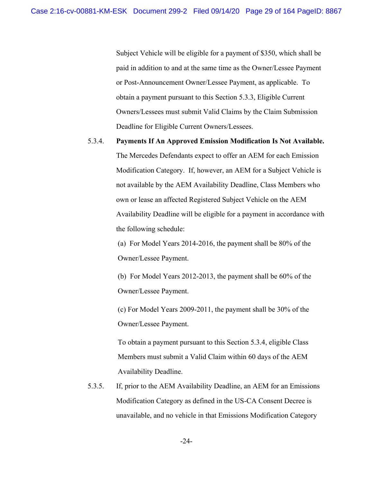Subject Vehicle will be eligible for a payment of \$350, which shall be paid in addition to and at the same time as the Owner/Lessee Payment or Post-Announcement Owner/Lessee Payment, as applicable. To obtain a payment pursuant to this Section 5.3.3, Eligible Current Owners/Lessees must submit Valid Claims by the Claim Submission Deadline for Eligible Current Owners/Lessees.

### 5.3.4. **Payments If An Approved Emission Modification Is Not Available.**

The Mercedes Defendants expect to offer an AEM for each Emission Modification Category. If, however, an AEM for a Subject Vehicle is not available by the AEM Availability Deadline, Class Members who own or lease an affected Registered Subject Vehicle on the AEM Availability Deadline will be eligible for a payment in accordance with the following schedule:

(a) For Model Years 2014-2016, the payment shall be 80% of the Owner/Lessee Payment.

(b) For Model Years 2012-2013, the payment shall be 60% of the Owner/Lessee Payment.

(c) For Model Years 2009-2011, the payment shall be 30% of the Owner/Lessee Payment.

To obtain a payment pursuant to this Section 5.3.4, eligible Class Members must submit a Valid Claim within 60 days of the AEM Availability Deadline.

5.3.5. If, prior to the AEM Availability Deadline, an AEM for an Emissions Modification Category as defined in the US-CA Consent Decree is unavailable, and no vehicle in that Emissions Modification Category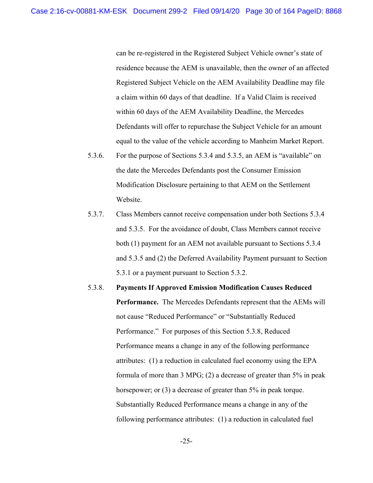can be re-registered in the Registered Subject Vehicle owner's state of residence because the AEM is unavailable, then the owner of an affected Registered Subject Vehicle on the AEM Availability Deadline may file a claim within 60 days of that deadline. If a Valid Claim is received within 60 days of the AEM Availability Deadline, the Mercedes Defendants will offer to repurchase the Subject Vehicle for an amount equal to the value of the vehicle according to Manheim Market Report.

- 5.3.6. For the purpose of Sections 5.3.4 and 5.3.5, an AEM is "available" on the date the Mercedes Defendants post the Consumer Emission Modification Disclosure pertaining to that AEM on the Settlement Website.
- 5.3.7. Class Members cannot receive compensation under both Sections 5.3.4 and 5.3.5. For the avoidance of doubt, Class Members cannot receive both (1) payment for an AEM not available pursuant to Sections 5.3.4 and 5.3.5 and (2) the Deferred Availability Payment pursuant to Section 5.3.1 or a payment pursuant to Section 5.3.2.
- 5.3.8. **Payments If Approved Emission Modification Causes Reduced Performance.** The Mercedes Defendants represent that the AEMs will not cause "Reduced Performance" or "Substantially Reduced Performance." For purposes of this Section 5.3.8, Reduced Performance means a change in any of the following performance attributes: (1) a reduction in calculated fuel economy using the EPA formula of more than 3 MPG; (2) a decrease of greater than 5% in peak horsepower; or (3) a decrease of greater than 5% in peak torque. Substantially Reduced Performance means a change in any of the following performance attributes: (1) a reduction in calculated fuel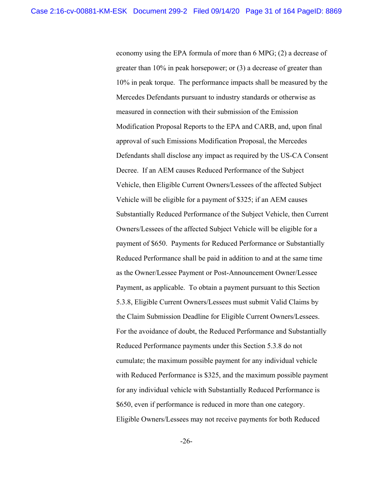economy using the EPA formula of more than 6 MPG; (2) a decrease of greater than 10% in peak horsepower; or (3) a decrease of greater than 10% in peak torque. The performance impacts shall be measured by the Mercedes Defendants pursuant to industry standards or otherwise as measured in connection with their submission of the Emission Modification Proposal Reports to the EPA and CARB, and, upon final approval of such Emissions Modification Proposal, the Mercedes Defendants shall disclose any impact as required by the US-CA Consent Decree. If an AEM causes Reduced Performance of the Subject Vehicle, then Eligible Current Owners/Lessees of the affected Subject Vehicle will be eligible for a payment of \$325; if an AEM causes Substantially Reduced Performance of the Subject Vehicle, then Current Owners/Lessees of the affected Subject Vehicle will be eligible for a payment of \$650. Payments for Reduced Performance or Substantially Reduced Performance shall be paid in addition to and at the same time as the Owner/Lessee Payment or Post-Announcement Owner/Lessee Payment, as applicable. To obtain a payment pursuant to this Section 5.3.8, Eligible Current Owners/Lessees must submit Valid Claims by the Claim Submission Deadline for Eligible Current Owners/Lessees. For the avoidance of doubt, the Reduced Performance and Substantially Reduced Performance payments under this Section 5.3.8 do not cumulate; the maximum possible payment for any individual vehicle with Reduced Performance is \$325, and the maximum possible payment for any individual vehicle with Substantially Reduced Performance is \$650, even if performance is reduced in more than one category. Eligible Owners/Lessees may not receive payments for both Reduced

-26-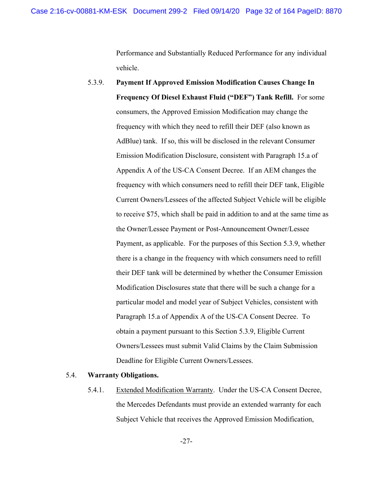Performance and Substantially Reduced Performance for any individual vehicle.

5.3.9. **Payment If Approved Emission Modification Causes Change In Frequency Of Diesel Exhaust Fluid ("DEF") Tank Refill.** For some consumers, the Approved Emission Modification may change the frequency with which they need to refill their DEF (also known as AdBlue) tank. If so, this will be disclosed in the relevant Consumer Emission Modification Disclosure, consistent with Paragraph 15.a of Appendix A of the US-CA Consent Decree. If an AEM changes the frequency with which consumers need to refill their DEF tank, Eligible Current Owners/Lessees of the affected Subject Vehicle will be eligible to receive \$75, which shall be paid in addition to and at the same time as the Owner/Lessee Payment or Post-Announcement Owner/Lessee Payment, as applicable. For the purposes of this Section 5.3.9, whether there is a change in the frequency with which consumers need to refill their DEF tank will be determined by whether the Consumer Emission Modification Disclosures state that there will be such a change for a particular model and model year of Subject Vehicles, consistent with Paragraph 15.a of Appendix A of the US-CA Consent Decree. To obtain a payment pursuant to this Section 5.3.9, Eligible Current Owners/Lessees must submit Valid Claims by the Claim Submission Deadline for Eligible Current Owners/Lessees.

## 5.4. **Warranty Obligations.**

5.4.1. Extended Modification Warranty. Under the US-CA Consent Decree, the Mercedes Defendants must provide an extended warranty for each Subject Vehicle that receives the Approved Emission Modification,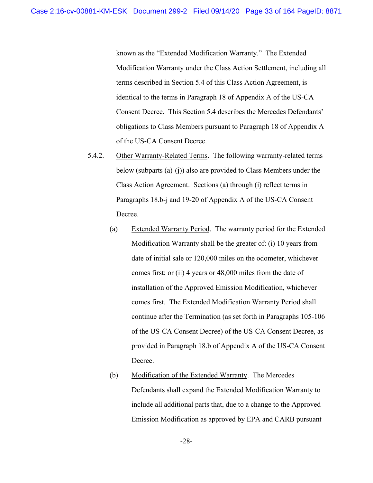known as the "Extended Modification Warranty." The Extended Modification Warranty under the Class Action Settlement, including all terms described in Section 5.4 of this Class Action Agreement, is identical to the terms in Paragraph 18 of Appendix A of the US-CA Consent Decree. This Section 5.4 describes the Mercedes Defendants' obligations to Class Members pursuant to Paragraph 18 of Appendix A of the US-CA Consent Decree.

- 5.4.2. Other Warranty-Related Terms. The following warranty-related terms below (subparts (a)-(j)) also are provided to Class Members under the Class Action Agreement. Sections (a) through (i) reflect terms in Paragraphs 18.b-j and 19-20 of Appendix A of the US-CA Consent Decree.
	- (a) Extended Warranty Period. The warranty period for the Extended Modification Warranty shall be the greater of: (i) 10 years from date of initial sale or 120,000 miles on the odometer, whichever comes first; or (ii) 4 years or 48,000 miles from the date of installation of the Approved Emission Modification, whichever comes first. The Extended Modification Warranty Period shall continue after the Termination (as set forth in Paragraphs 105-106 of the US-CA Consent Decree) of the US-CA Consent Decree, as provided in Paragraph 18.b of Appendix A of the US-CA Consent Decree.
	- (b) Modification of the Extended Warranty. The Mercedes Defendants shall expand the Extended Modification Warranty to include all additional parts that, due to a change to the Approved Emission Modification as approved by EPA and CARB pursuant

-28-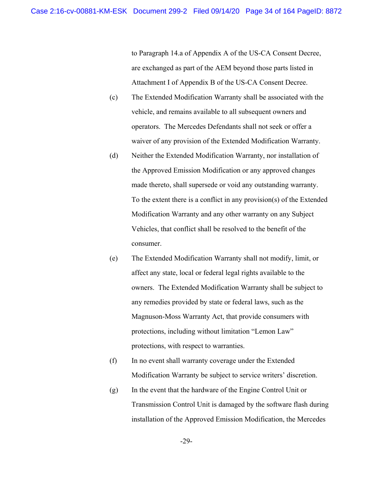to Paragraph 14.a of Appendix A of the US-CA Consent Decree, are exchanged as part of the AEM beyond those parts listed in Attachment I of Appendix B of the US-CA Consent Decree.

- (c) The Extended Modification Warranty shall be associated with the vehicle, and remains available to all subsequent owners and operators. The Mercedes Defendants shall not seek or offer a waiver of any provision of the Extended Modification Warranty.
- (d) Neither the Extended Modification Warranty, nor installation of the Approved Emission Modification or any approved changes made thereto, shall supersede or void any outstanding warranty. To the extent there is a conflict in any provision(s) of the Extended Modification Warranty and any other warranty on any Subject Vehicles, that conflict shall be resolved to the benefit of the consumer.
- (e) The Extended Modification Warranty shall not modify, limit, or affect any state, local or federal legal rights available to the owners. The Extended Modification Warranty shall be subject to any remedies provided by state or federal laws, such as the Magnuson-Moss Warranty Act, that provide consumers with protections, including without limitation "Lemon Law" protections, with respect to warranties.
- (f) In no event shall warranty coverage under the Extended Modification Warranty be subject to service writers' discretion.
- (g) In the event that the hardware of the Engine Control Unit or Transmission Control Unit is damaged by the software flash during installation of the Approved Emission Modification, the Mercedes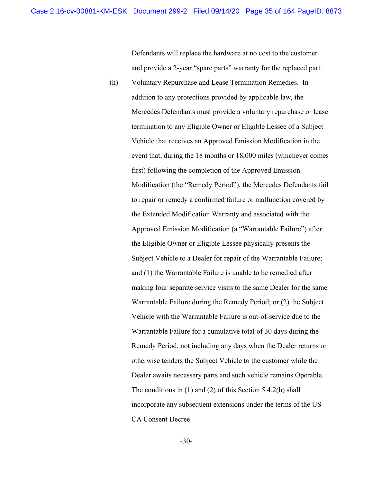Defendants will replace the hardware at no cost to the customer and provide a 2-year "spare parts" warranty for the replaced part.

(h) Voluntary Repurchase and Lease Termination Remedies. In addition to any protections provided by applicable law, the Mercedes Defendants must provide a voluntary repurchase or lease termination to any Eligible Owner or Eligible Lessee of a Subject Vehicle that receives an Approved Emission Modification in the event that, during the 18 months or 18,000 miles (whichever comes first) following the completion of the Approved Emission Modification (the "Remedy Period"), the Mercedes Defendants fail to repair or remedy a confirmed failure or malfunction covered by the Extended Modification Warranty and associated with the Approved Emission Modification (a "Warrantable Failure") after the Eligible Owner or Eligible Lessee physically presents the Subject Vehicle to a Dealer for repair of the Warrantable Failure; and (1) the Warrantable Failure is unable to be remedied after making four separate service visits to the same Dealer for the same Warrantable Failure during the Remedy Period; or (2) the Subject Vehicle with the Warrantable Failure is out-of-service due to the Warrantable Failure for a cumulative total of 30 days during the Remedy Period, not including any days when the Dealer returns or otherwise tenders the Subject Vehicle to the customer while the Dealer awaits necessary parts and such vehicle remains Operable. The conditions in (1) and (2) of this Section 5.4.2(h) shall incorporate any subsequent extensions under the terms of the US-CA Consent Decree.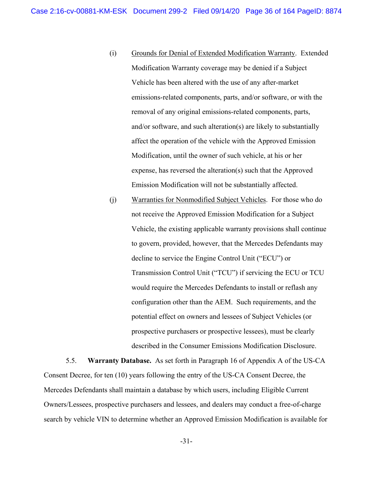- (i) Grounds for Denial of Extended Modification Warranty. Extended Modification Warranty coverage may be denied if a Subject Vehicle has been altered with the use of any after-market emissions-related components, parts, and/or software, or with the removal of any original emissions-related components, parts, and/or software, and such alteration(s) are likely to substantially affect the operation of the vehicle with the Approved Emission Modification, until the owner of such vehicle, at his or her expense, has reversed the alteration(s) such that the Approved Emission Modification will not be substantially affected.
- (j) Warranties for Nonmodified Subject Vehicles. For those who do not receive the Approved Emission Modification for a Subject Vehicle, the existing applicable warranty provisions shall continue to govern, provided, however, that the Mercedes Defendants may decline to service the Engine Control Unit ("ECU") or Transmission Control Unit ("TCU") if servicing the ECU or TCU would require the Mercedes Defendants to install or reflash any configuration other than the AEM. Such requirements, and the potential effect on owners and lessees of Subject Vehicles (or prospective purchasers or prospective lessees), must be clearly described in the Consumer Emissions Modification Disclosure.

5.5. **Warranty Database.** As set forth in Paragraph 16 of Appendix A of the US-CA Consent Decree, for ten (10) years following the entry of the US-CA Consent Decree, the Mercedes Defendants shall maintain a database by which users, including Eligible Current Owners/Lessees, prospective purchasers and lessees, and dealers may conduct a free-of-charge search by vehicle VIN to determine whether an Approved Emission Modification is available for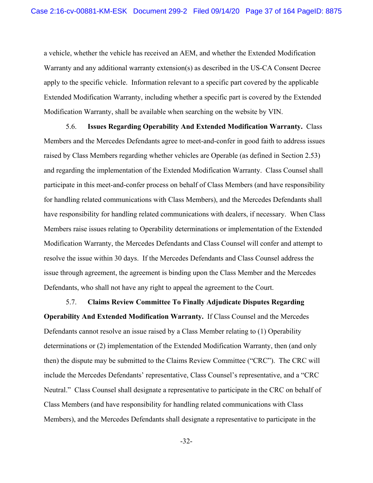a vehicle, whether the vehicle has received an AEM, and whether the Extended Modification Warranty and any additional warranty extension(s) as described in the US-CA Consent Decree apply to the specific vehicle. Information relevant to a specific part covered by the applicable Extended Modification Warranty, including whether a specific part is covered by the Extended Modification Warranty, shall be available when searching on the website by VIN.

5.6. **Issues Regarding Operability And Extended Modification Warranty.** Class Members and the Mercedes Defendants agree to meet-and-confer in good faith to address issues raised by Class Members regarding whether vehicles are Operable (as defined in Section 2.53) and regarding the implementation of the Extended Modification Warranty. Class Counsel shall participate in this meet-and-confer process on behalf of Class Members (and have responsibility for handling related communications with Class Members), and the Mercedes Defendants shall have responsibility for handling related communications with dealers, if necessary. When Class Members raise issues relating to Operability determinations or implementation of the Extended Modification Warranty, the Mercedes Defendants and Class Counsel will confer and attempt to resolve the issue within 30 days. If the Mercedes Defendants and Class Counsel address the issue through agreement, the agreement is binding upon the Class Member and the Mercedes Defendants, who shall not have any right to appeal the agreement to the Court.

5.7. **Claims Review Committee To Finally Adjudicate Disputes Regarding Operability And Extended Modification Warranty.** If Class Counsel and the Mercedes Defendants cannot resolve an issue raised by a Class Member relating to (1) Operability determinations or (2) implementation of the Extended Modification Warranty, then (and only then) the dispute may be submitted to the Claims Review Committee ("CRC"). The CRC will include the Mercedes Defendants' representative, Class Counsel's representative, and a "CRC Neutral." Class Counsel shall designate a representative to participate in the CRC on behalf of Class Members (and have responsibility for handling related communications with Class Members), and the Mercedes Defendants shall designate a representative to participate in the

-32-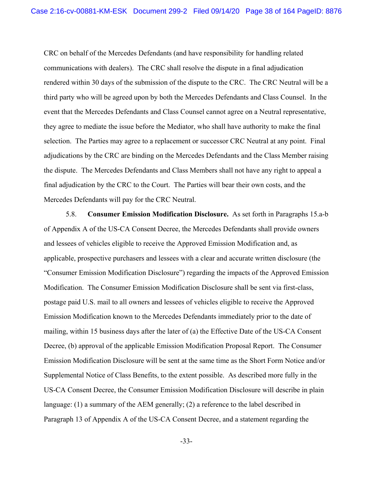CRC on behalf of the Mercedes Defendants (and have responsibility for handling related communications with dealers). The CRC shall resolve the dispute in a final adjudication rendered within 30 days of the submission of the dispute to the CRC. The CRC Neutral will be a third party who will be agreed upon by both the Mercedes Defendants and Class Counsel. In the event that the Mercedes Defendants and Class Counsel cannot agree on a Neutral representative, they agree to mediate the issue before the Mediator, who shall have authority to make the final selection. The Parties may agree to a replacement or successor CRC Neutral at any point. Final adjudications by the CRC are binding on the Mercedes Defendants and the Class Member raising the dispute. The Mercedes Defendants and Class Members shall not have any right to appeal a final adjudication by the CRC to the Court. The Parties will bear their own costs, and the Mercedes Defendants will pay for the CRC Neutral.

5.8. **Consumer Emission Modification Disclosure.** As set forth in Paragraphs 15.a-b of Appendix A of the US-CA Consent Decree, the Mercedes Defendants shall provide owners and lessees of vehicles eligible to receive the Approved Emission Modification and, as applicable, prospective purchasers and lessees with a clear and accurate written disclosure (the "Consumer Emission Modification Disclosure") regarding the impacts of the Approved Emission Modification. The Consumer Emission Modification Disclosure shall be sent via first-class, postage paid U.S. mail to all owners and lessees of vehicles eligible to receive the Approved Emission Modification known to the Mercedes Defendants immediately prior to the date of mailing, within 15 business days after the later of (a) the Effective Date of the US-CA Consent Decree, (b) approval of the applicable Emission Modification Proposal Report. The Consumer Emission Modification Disclosure will be sent at the same time as the Short Form Notice and/or Supplemental Notice of Class Benefits, to the extent possible. As described more fully in the US-CA Consent Decree, the Consumer Emission Modification Disclosure will describe in plain language: (1) a summary of the AEM generally; (2) a reference to the label described in Paragraph 13 of Appendix A of the US-CA Consent Decree, and a statement regarding the

-33-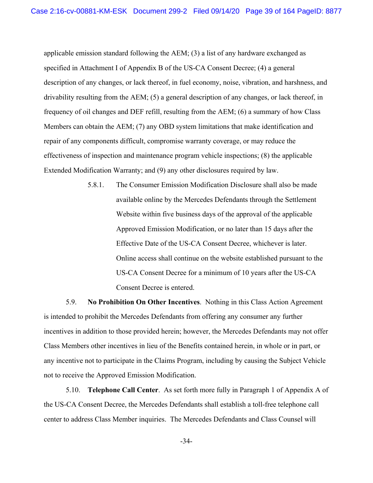applicable emission standard following the AEM; (3) a list of any hardware exchanged as specified in Attachment I of Appendix B of the US-CA Consent Decree; (4) a general description of any changes, or lack thereof, in fuel economy, noise, vibration, and harshness, and drivability resulting from the AEM; (5) a general description of any changes, or lack thereof, in frequency of oil changes and DEF refill, resulting from the AEM; (6) a summary of how Class Members can obtain the AEM; (7) any OBD system limitations that make identification and repair of any components difficult, compromise warranty coverage, or may reduce the effectiveness of inspection and maintenance program vehicle inspections; (8) the applicable Extended Modification Warranty; and (9) any other disclosures required by law.

> 5.8.1. The Consumer Emission Modification Disclosure shall also be made available online by the Mercedes Defendants through the Settlement Website within five business days of the approval of the applicable Approved Emission Modification, or no later than 15 days after the Effective Date of the US-CA Consent Decree, whichever is later. Online access shall continue on the website established pursuant to the US-CA Consent Decree for a minimum of 10 years after the US-CA Consent Decree is entered.

5.9. **No Prohibition On Other Incentives**.Nothing in this Class Action Agreement is intended to prohibit the Mercedes Defendants from offering any consumer any further incentives in addition to those provided herein; however, the Mercedes Defendants may not offer Class Members other incentives in lieu of the Benefits contained herein, in whole or in part, or any incentive not to participate in the Claims Program, including by causing the Subject Vehicle not to receive the Approved Emission Modification.

5.10. **Telephone Call Center**.As set forth more fully in Paragraph 1 of Appendix A of the US-CA Consent Decree, the Mercedes Defendants shall establish a toll-free telephone call center to address Class Member inquiries. The Mercedes Defendants and Class Counsel will

-34-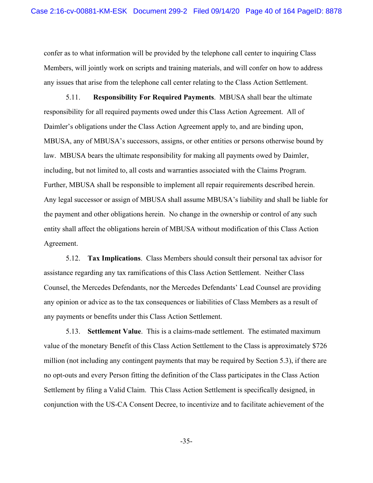confer as to what information will be provided by the telephone call center to inquiring Class Members, will jointly work on scripts and training materials, and will confer on how to address any issues that arise from the telephone call center relating to the Class Action Settlement.

5.11. **Responsibility For Required Payments**.MBUSA shall bear the ultimate responsibility for all required payments owed under this Class Action Agreement. All of Daimler's obligations under the Class Action Agreement apply to, and are binding upon, MBUSA, any of MBUSA's successors, assigns, or other entities or persons otherwise bound by law. MBUSA bears the ultimate responsibility for making all payments owed by Daimler, including, but not limited to, all costs and warranties associated with the Claims Program. Further, MBUSA shall be responsible to implement all repair requirements described herein. Any legal successor or assign of MBUSA shall assume MBUSA's liability and shall be liable for the payment and other obligations herein. No change in the ownership or control of any such entity shall affect the obligations herein of MBUSA without modification of this Class Action Agreement.

5.12. **Tax Implications**.Class Members should consult their personal tax advisor for assistance regarding any tax ramifications of this Class Action Settlement. Neither Class Counsel, the Mercedes Defendants, nor the Mercedes Defendants' Lead Counsel are providing any opinion or advice as to the tax consequences or liabilities of Class Members as a result of any payments or benefits under this Class Action Settlement.

5.13. **Settlement Value**.This is a claims-made settlement. The estimated maximum value of the monetary Benefit of this Class Action Settlement to the Class is approximately \$726 million (not including any contingent payments that may be required by Section 5.3), if there are no opt-outs and every Person fitting the definition of the Class participates in the Class Action Settlement by filing a Valid Claim. This Class Action Settlement is specifically designed, in conjunction with the US-CA Consent Decree, to incentivize and to facilitate achievement of the

-35-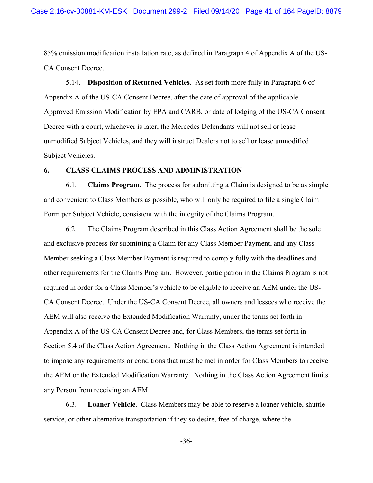85% emission modification installation rate, as defined in Paragraph 4 of Appendix A of the US-CA Consent Decree.

5.14. **Disposition of Returned Vehicles**. As set forth more fully in Paragraph 6 of Appendix A of the US-CA Consent Decree, after the date of approval of the applicable Approved Emission Modification by EPA and CARB, or date of lodging of the US-CA Consent Decree with a court, whichever is later, the Mercedes Defendants will not sell or lease unmodified Subject Vehicles, and they will instruct Dealers not to sell or lease unmodified Subject Vehicles.

### **6. CLASS CLAIMS PROCESS AND ADMINISTRATION**

6.1. **Claims Program**.The process for submitting a Claim is designed to be as simple and convenient to Class Members as possible, who will only be required to file a single Claim Form per Subject Vehicle, consistent with the integrity of the Claims Program.

6.2. The Claims Program described in this Class Action Agreement shall be the sole and exclusive process for submitting a Claim for any Class Member Payment, and any Class Member seeking a Class Member Payment is required to comply fully with the deadlines and other requirements for the Claims Program. However, participation in the Claims Program is not required in order for a Class Member's vehicle to be eligible to receive an AEM under the US-CA Consent Decree. Under the US-CA Consent Decree, all owners and lessees who receive the AEM will also receive the Extended Modification Warranty, under the terms set forth in Appendix A of the US-CA Consent Decree and, for Class Members, the terms set forth in Section 5.4 of the Class Action Agreement. Nothing in the Class Action Agreement is intended to impose any requirements or conditions that must be met in order for Class Members to receive the AEM or the Extended Modification Warranty. Nothing in the Class Action Agreement limits any Person from receiving an AEM.

6.3. **Loaner Vehicle**.Class Members may be able to reserve a loaner vehicle, shuttle service, or other alternative transportation if they so desire, free of charge, where the

-36-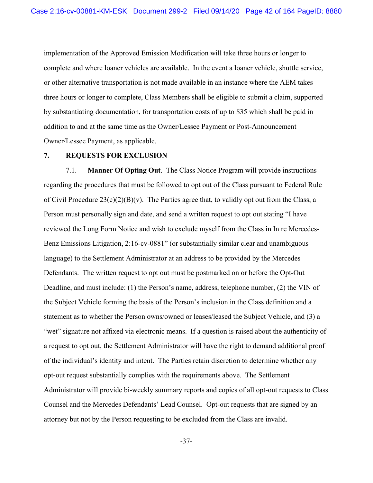implementation of the Approved Emission Modification will take three hours or longer to complete and where loaner vehicles are available. In the event a loaner vehicle, shuttle service, or other alternative transportation is not made available in an instance where the AEM takes three hours or longer to complete, Class Members shall be eligible to submit a claim, supported by substantiating documentation, for transportation costs of up to \$35 which shall be paid in addition to and at the same time as the Owner/Lessee Payment or Post-Announcement Owner/Lessee Payment, as applicable.

### **7. REQUESTS FOR EXCLUSION**

7.1. **Manner Of Opting Out**.The Class Notice Program will provide instructions regarding the procedures that must be followed to opt out of the Class pursuant to Federal Rule of Civil Procedure  $23(c)(2)(B)(v)$ . The Parties agree that, to validly opt out from the Class, a Person must personally sign and date, and send a written request to opt out stating "I have reviewed the Long Form Notice and wish to exclude myself from the Class in In re Mercedes-Benz Emissions Litigation, 2:16-cv-0881" (or substantially similar clear and unambiguous language) to the Settlement Administrator at an address to be provided by the Mercedes Defendants. The written request to opt out must be postmarked on or before the Opt-Out Deadline, and must include: (1) the Person's name, address, telephone number, (2) the VIN of the Subject Vehicle forming the basis of the Person's inclusion in the Class definition and a statement as to whether the Person owns/owned or leases/leased the Subject Vehicle, and (3) a "wet" signature not affixed via electronic means. If a question is raised about the authenticity of a request to opt out, the Settlement Administrator will have the right to demand additional proof of the individual's identity and intent. The Parties retain discretion to determine whether any opt-out request substantially complies with the requirements above. The Settlement Administrator will provide bi-weekly summary reports and copies of all opt-out requests to Class Counsel and the Mercedes Defendants' Lead Counsel. Opt-out requests that are signed by an attorney but not by the Person requesting to be excluded from the Class are invalid.

-37-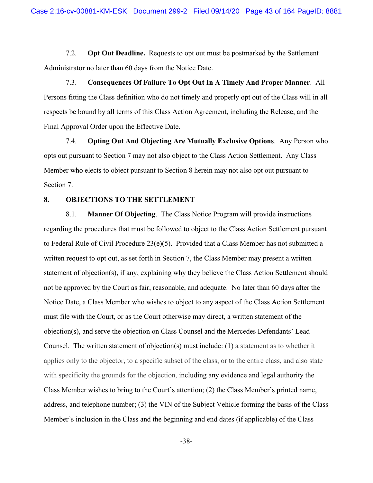7.2. **Opt Out Deadline.** Requests to opt out must be postmarked by the Settlement Administrator no later than 60 days from the Notice Date.

7.3. **Consequences Of Failure To Opt Out In A Timely And Proper Manner**.All Persons fitting the Class definition who do not timely and properly opt out of the Class will in all respects be bound by all terms of this Class Action Agreement, including the Release, and the Final Approval Order upon the Effective Date.

7.4. **Opting Out And Objecting Are Mutually Exclusive Options**.Any Person who opts out pursuant to Section 7 may not also object to the Class Action Settlement. Any Class Member who elects to object pursuant to Section 8 herein may not also opt out pursuant to Section 7.

#### **8. OBJECTIONS TO THE SETTLEMENT**

8.1. **Manner Of Objecting**.The Class Notice Program will provide instructions regarding the procedures that must be followed to object to the Class Action Settlement pursuant to Federal Rule of Civil Procedure 23(e)(5). Provided that a Class Member has not submitted a written request to opt out, as set forth in Section 7, the Class Member may present a written statement of objection(s), if any, explaining why they believe the Class Action Settlement should not be approved by the Court as fair, reasonable, and adequate. No later than 60 days after the Notice Date, a Class Member who wishes to object to any aspect of the Class Action Settlement must file with the Court, or as the Court otherwise may direct, a written statement of the objection(s), and serve the objection on Class Counsel and the Mercedes Defendants' Lead Counsel. The written statement of objection(s) must include: (1) a statement as to whether it applies only to the objector, to a specific subset of the class, or to the entire class, and also state with specificity the grounds for the objection, including any evidence and legal authority the Class Member wishes to bring to the Court's attention; (2) the Class Member's printed name, address, and telephone number; (3) the VIN of the Subject Vehicle forming the basis of the Class Member's inclusion in the Class and the beginning and end dates (if applicable) of the Class

-38-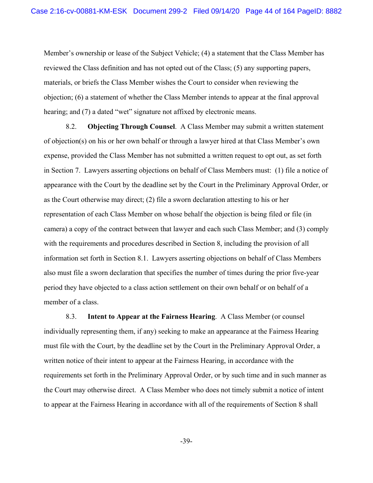Member's ownership or lease of the Subject Vehicle; (4) a statement that the Class Member has reviewed the Class definition and has not opted out of the Class; (5) any supporting papers, materials, or briefs the Class Member wishes the Court to consider when reviewing the objection; (6) a statement of whether the Class Member intends to appear at the final approval hearing; and (7) a dated "wet" signature not affixed by electronic means.

8.2. **Objecting Through Counsel**.A Class Member may submit a written statement of objection(s) on his or her own behalf or through a lawyer hired at that Class Member's own expense, provided the Class Member has not submitted a written request to opt out, as set forth in Section 7. Lawyers asserting objections on behalf of Class Members must: (1) file a notice of appearance with the Court by the deadline set by the Court in the Preliminary Approval Order, or as the Court otherwise may direct; (2) file a sworn declaration attesting to his or her representation of each Class Member on whose behalf the objection is being filed or file (in camera) a copy of the contract between that lawyer and each such Class Member; and (3) comply with the requirements and procedures described in Section 8, including the provision of all information set forth in Section 8.1. Lawyers asserting objections on behalf of Class Members also must file a sworn declaration that specifies the number of times during the prior five-year period they have objected to a class action settlement on their own behalf or on behalf of a member of a class.

8.3. **Intent to Appear at the Fairness Hearing**.A Class Member (or counsel individually representing them, if any) seeking to make an appearance at the Fairness Hearing must file with the Court, by the deadline set by the Court in the Preliminary Approval Order, a written notice of their intent to appear at the Fairness Hearing, in accordance with the requirements set forth in the Preliminary Approval Order, or by such time and in such manner as the Court may otherwise direct. A Class Member who does not timely submit a notice of intent to appear at the Fairness Hearing in accordance with all of the requirements of Section 8 shall

-39-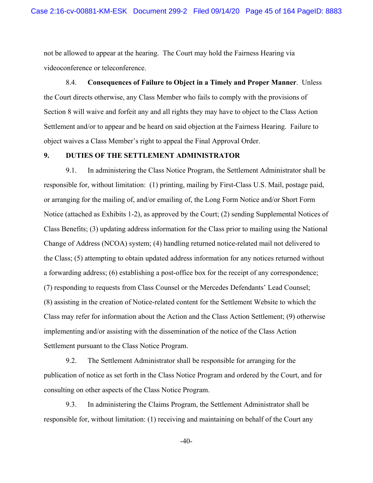not be allowed to appear at the hearing. The Court may hold the Fairness Hearing via videoconference or teleconference.

8.4. **Consequences of Failure to Object in a Timely and Proper Manner**.Unless the Court directs otherwise, any Class Member who fails to comply with the provisions of Section 8 will waive and forfeit any and all rights they may have to object to the Class Action Settlement and/or to appear and be heard on said objection at the Fairness Hearing. Failure to object waives a Class Member's right to appeal the Final Approval Order.

# **9. DUTIES OF THE SETTLEMENT ADMINISTRATOR**

9.1. In administering the Class Notice Program, the Settlement Administrator shall be responsible for, without limitation: (1) printing, mailing by First-Class U.S. Mail, postage paid, or arranging for the mailing of, and/or emailing of, the Long Form Notice and/or Short Form Notice (attached as Exhibits 1-2), as approved by the Court; (2) sending Supplemental Notices of Class Benefits; (3) updating address information for the Class prior to mailing using the National Change of Address (NCOA) system; (4) handling returned notice-related mail not delivered to the Class; (5) attempting to obtain updated address information for any notices returned without a forwarding address; (6) establishing a post-office box for the receipt of any correspondence; (7) responding to requests from Class Counsel or the Mercedes Defendants' Lead Counsel; (8) assisting in the creation of Notice-related content for the Settlement Website to which the Class may refer for information about the Action and the Class Action Settlement; (9) otherwise implementing and/or assisting with the dissemination of the notice of the Class Action Settlement pursuant to the Class Notice Program.

9.2. The Settlement Administrator shall be responsible for arranging for the publication of notice as set forth in the Class Notice Program and ordered by the Court, and for consulting on other aspects of the Class Notice Program.

9.3. In administering the Claims Program, the Settlement Administrator shall be responsible for, without limitation: (1) receiving and maintaining on behalf of the Court any

-40-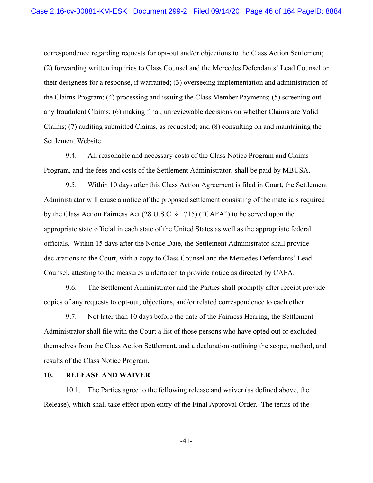correspondence regarding requests for opt-out and/or objections to the Class Action Settlement; (2) forwarding written inquiries to Class Counsel and the Mercedes Defendants' Lead Counsel or their designees for a response, if warranted; (3) overseeing implementation and administration of the Claims Program; (4) processing and issuing the Class Member Payments; (5) screening out any fraudulent Claims; (6) making final, unreviewable decisions on whether Claims are Valid Claims; (7) auditing submitted Claims, as requested; and (8) consulting on and maintaining the Settlement Website.

9.4. All reasonable and necessary costs of the Class Notice Program and Claims Program, and the fees and costs of the Settlement Administrator, shall be paid by MBUSA.

9.5. Within 10 days after this Class Action Agreement is filed in Court, the Settlement Administrator will cause a notice of the proposed settlement consisting of the materials required by the Class Action Fairness Act (28 U.S.C. § 1715) ("CAFA") to be served upon the appropriate state official in each state of the United States as well as the appropriate federal officials. Within 15 days after the Notice Date, the Settlement Administrator shall provide declarations to the Court, with a copy to Class Counsel and the Mercedes Defendants' Lead Counsel, attesting to the measures undertaken to provide notice as directed by CAFA.

9.6. The Settlement Administrator and the Parties shall promptly after receipt provide copies of any requests to opt-out, objections, and/or related correspondence to each other.

9.7. Not later than 10 days before the date of the Fairness Hearing, the Settlement Administrator shall file with the Court a list of those persons who have opted out or excluded themselves from the Class Action Settlement, and a declaration outlining the scope, method, and results of the Class Notice Program.

### **10. RELEASE AND WAIVER**

10.1. The Parties agree to the following release and waiver (as defined above, the Release), which shall take effect upon entry of the Final Approval Order. The terms of the

-41-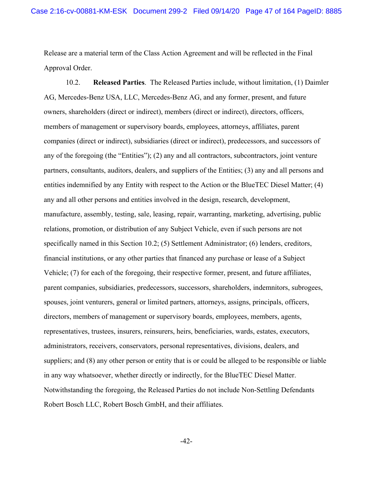Release are a material term of the Class Action Agreement and will be reflected in the Final Approval Order.

10.2. **Released Parties**.The Released Parties include, without limitation, (1) Daimler AG, Mercedes-Benz USA, LLC, Mercedes-Benz AG, and any former, present, and future owners, shareholders (direct or indirect), members (direct or indirect), directors, officers, members of management or supervisory boards, employees, attorneys, affiliates, parent companies (direct or indirect), subsidiaries (direct or indirect), predecessors, and successors of any of the foregoing (the "Entities"); (2) any and all contractors, subcontractors, joint venture partners, consultants, auditors, dealers, and suppliers of the Entities; (3) any and all persons and entities indemnified by any Entity with respect to the Action or the BlueTEC Diesel Matter; (4) any and all other persons and entities involved in the design, research, development, manufacture, assembly, testing, sale, leasing, repair, warranting, marketing, advertising, public relations, promotion, or distribution of any Subject Vehicle, even if such persons are not specifically named in this Section 10.2; (5) Settlement Administrator; (6) lenders, creditors, financial institutions, or any other parties that financed any purchase or lease of a Subject Vehicle; (7) for each of the foregoing, their respective former, present, and future affiliates, parent companies, subsidiaries, predecessors, successors, shareholders, indemnitors, subrogees, spouses, joint venturers, general or limited partners, attorneys, assigns, principals, officers, directors, members of management or supervisory boards, employees, members, agents, representatives, trustees, insurers, reinsurers, heirs, beneficiaries, wards, estates, executors, administrators, receivers, conservators, personal representatives, divisions, dealers, and suppliers; and (8) any other person or entity that is or could be alleged to be responsible or liable in any way whatsoever, whether directly or indirectly, for the BlueTEC Diesel Matter. Notwithstanding the foregoing, the Released Parties do not include Non-Settling Defendants Robert Bosch LLC, Robert Bosch GmbH, and their affiliates.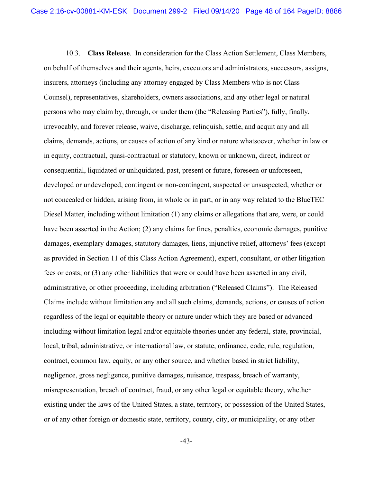10.3. **Class Release**.In consideration for the Class Action Settlement, Class Members, on behalf of themselves and their agents, heirs, executors and administrators, successors, assigns, insurers, attorneys (including any attorney engaged by Class Members who is not Class Counsel), representatives, shareholders, owners associations, and any other legal or natural persons who may claim by, through, or under them (the "Releasing Parties"), fully, finally, irrevocably, and forever release, waive, discharge, relinquish, settle, and acquit any and all claims, demands, actions, or causes of action of any kind or nature whatsoever, whether in law or in equity, contractual, quasi-contractual or statutory, known or unknown, direct, indirect or consequential, liquidated or unliquidated, past, present or future, foreseen or unforeseen, developed or undeveloped, contingent or non-contingent, suspected or unsuspected, whether or not concealed or hidden, arising from, in whole or in part, or in any way related to the BlueTEC Diesel Matter, including without limitation (1) any claims or allegations that are, were, or could have been asserted in the Action; (2) any claims for fines, penalties, economic damages, punitive damages, exemplary damages, statutory damages, liens, injunctive relief, attorneys' fees (except as provided in Section 11 of this Class Action Agreement), expert, consultant, or other litigation fees or costs; or (3) any other liabilities that were or could have been asserted in any civil, administrative, or other proceeding, including arbitration ("Released Claims"). The Released Claims include without limitation any and all such claims, demands, actions, or causes of action regardless of the legal or equitable theory or nature under which they are based or advanced including without limitation legal and/or equitable theories under any federal, state, provincial, local, tribal, administrative, or international law, or statute, ordinance, code, rule, regulation, contract, common law, equity, or any other source, and whether based in strict liability, negligence, gross negligence, punitive damages, nuisance, trespass, breach of warranty, misrepresentation, breach of contract, fraud, or any other legal or equitable theory, whether existing under the laws of the United States, a state, territory, or possession of the United States, or of any other foreign or domestic state, territory, county, city, or municipality, or any other

-43-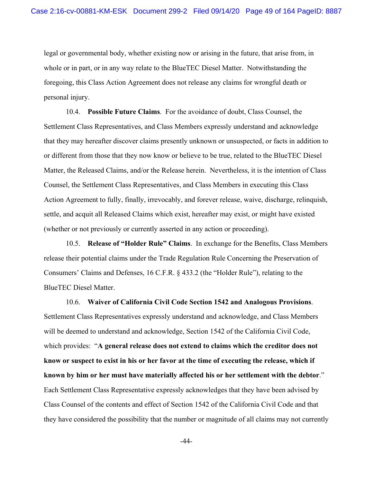legal or governmental body, whether existing now or arising in the future, that arise from, in whole or in part, or in any way relate to the BlueTEC Diesel Matter. Notwithstanding the foregoing, this Class Action Agreement does not release any claims for wrongful death or personal injury.

10.4. **Possible Future Claims**.For the avoidance of doubt, Class Counsel, the Settlement Class Representatives, and Class Members expressly understand and acknowledge that they may hereafter discover claims presently unknown or unsuspected, or facts in addition to or different from those that they now know or believe to be true, related to the BlueTEC Diesel Matter, the Released Claims, and/or the Release herein. Nevertheless, it is the intention of Class Counsel, the Settlement Class Representatives, and Class Members in executing this Class Action Agreement to fully, finally, irrevocably, and forever release, waive, discharge, relinquish, settle, and acquit all Released Claims which exist, hereafter may exist, or might have existed (whether or not previously or currently asserted in any action or proceeding).

10.5. **Release of "Holder Rule" Claims**.In exchange for the Benefits, Class Members release their potential claims under the Trade Regulation Rule Concerning the Preservation of Consumers' Claims and Defenses, 16 C.F.R. § 433.2 (the "Holder Rule"), relating to the BlueTEC Diesel Matter.

10.6. **Waiver of California Civil Code Section 1542 and Analogous Provisions**. Settlement Class Representatives expressly understand and acknowledge, and Class Members will be deemed to understand and acknowledge, Section 1542 of the California Civil Code, which provides: "**A general release does not extend to claims which the creditor does not know or suspect to exist in his or her favor at the time of executing the release, which if known by him or her must have materially affected his or her settlement with the debtor**." Each Settlement Class Representative expressly acknowledges that they have been advised by Class Counsel of the contents and effect of Section 1542 of the California Civil Code and that they have considered the possibility that the number or magnitude of all claims may not currently

-44-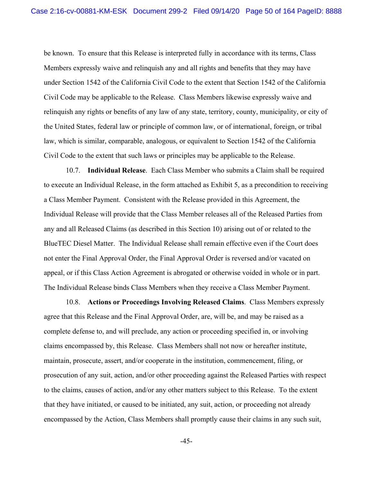be known. To ensure that this Release is interpreted fully in accordance with its terms, Class Members expressly waive and relinquish any and all rights and benefits that they may have under Section 1542 of the California Civil Code to the extent that Section 1542 of the California Civil Code may be applicable to the Release. Class Members likewise expressly waive and relinquish any rights or benefits of any law of any state, territory, county, municipality, or city of the United States, federal law or principle of common law, or of international, foreign, or tribal law, which is similar, comparable, analogous, or equivalent to Section 1542 of the California Civil Code to the extent that such laws or principles may be applicable to the Release.

10.7. **Individual Release**.Each Class Member who submits a Claim shall be required to execute an Individual Release, in the form attached as Exhibit 5, as a precondition to receiving a Class Member Payment. Consistent with the Release provided in this Agreement, the Individual Release will provide that the Class Member releases all of the Released Parties from any and all Released Claims (as described in this Section 10) arising out of or related to the BlueTEC Diesel Matter. The Individual Release shall remain effective even if the Court does not enter the Final Approval Order, the Final Approval Order is reversed and/or vacated on appeal, or if this Class Action Agreement is abrogated or otherwise voided in whole or in part. The Individual Release binds Class Members when they receive a Class Member Payment.

10.8. **Actions or Proceedings Involving Released Claims**.Class Members expressly agree that this Release and the Final Approval Order, are, will be, and may be raised as a complete defense to, and will preclude, any action or proceeding specified in, or involving claims encompassed by, this Release. Class Members shall not now or hereafter institute, maintain, prosecute, assert, and/or cooperate in the institution, commencement, filing, or prosecution of any suit, action, and/or other proceeding against the Released Parties with respect to the claims, causes of action, and/or any other matters subject to this Release. To the extent that they have initiated, or caused to be initiated, any suit, action, or proceeding not already encompassed by the Action, Class Members shall promptly cause their claims in any such suit,

-45-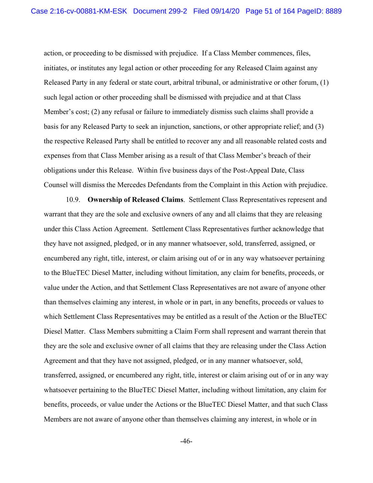action, or proceeding to be dismissed with prejudice. If a Class Member commences, files, initiates, or institutes any legal action or other proceeding for any Released Claim against any Released Party in any federal or state court, arbitral tribunal, or administrative or other forum, (1) such legal action or other proceeding shall be dismissed with prejudice and at that Class Member's cost; (2) any refusal or failure to immediately dismiss such claims shall provide a basis for any Released Party to seek an injunction, sanctions, or other appropriate relief; and (3) the respective Released Party shall be entitled to recover any and all reasonable related costs and expenses from that Class Member arising as a result of that Class Member's breach of their obligations under this Release. Within five business days of the Post-Appeal Date, Class Counsel will dismiss the Mercedes Defendants from the Complaint in this Action with prejudice.

10.9. **Ownership of Released Claims**.Settlement Class Representatives represent and warrant that they are the sole and exclusive owners of any and all claims that they are releasing under this Class Action Agreement. Settlement Class Representatives further acknowledge that they have not assigned, pledged, or in any manner whatsoever, sold, transferred, assigned, or encumbered any right, title, interest, or claim arising out of or in any way whatsoever pertaining to the BlueTEC Diesel Matter, including without limitation, any claim for benefits, proceeds, or value under the Action, and that Settlement Class Representatives are not aware of anyone other than themselves claiming any interest, in whole or in part, in any benefits, proceeds or values to which Settlement Class Representatives may be entitled as a result of the Action or the BlueTEC Diesel Matter. Class Members submitting a Claim Form shall represent and warrant therein that they are the sole and exclusive owner of all claims that they are releasing under the Class Action Agreement and that they have not assigned, pledged, or in any manner whatsoever, sold, transferred, assigned, or encumbered any right, title, interest or claim arising out of or in any way whatsoever pertaining to the BlueTEC Diesel Matter, including without limitation, any claim for benefits, proceeds, or value under the Actions or the BlueTEC Diesel Matter, and that such Class Members are not aware of anyone other than themselves claiming any interest, in whole or in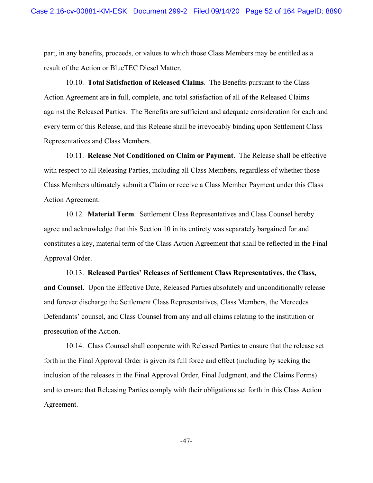part, in any benefits, proceeds, or values to which those Class Members may be entitled as a result of the Action or BlueTEC Diesel Matter.

10.10. **Total Satisfaction of Released Claims**. The Benefits pursuant to the Class Action Agreement are in full, complete, and total satisfaction of all of the Released Claims against the Released Parties. The Benefits are sufficient and adequate consideration for each and every term of this Release, and this Release shall be irrevocably binding upon Settlement Class Representatives and Class Members.

10.11. **Release Not Conditioned on Claim or Payment**.The Release shall be effective with respect to all Releasing Parties, including all Class Members, regardless of whether those Class Members ultimately submit a Claim or receive a Class Member Payment under this Class Action Agreement.

10.12. **Material Term**.Settlement Class Representatives and Class Counsel hereby agree and acknowledge that this Section 10 in its entirety was separately bargained for and constitutes a key, material term of the Class Action Agreement that shall be reflected in the Final Approval Order.

10.13. **Released Parties' Releases of Settlement Class Representatives, the Class, and Counsel**.Upon the Effective Date, Released Parties absolutely and unconditionally release and forever discharge the Settlement Class Representatives, Class Members, the Mercedes Defendants' counsel, and Class Counsel from any and all claims relating to the institution or prosecution of the Action.

10.14. Class Counsel shall cooperate with Released Parties to ensure that the release set forth in the Final Approval Order is given its full force and effect (including by seeking the inclusion of the releases in the Final Approval Order, Final Judgment, and the Claims Forms) and to ensure that Releasing Parties comply with their obligations set forth in this Class Action Agreement.

-47-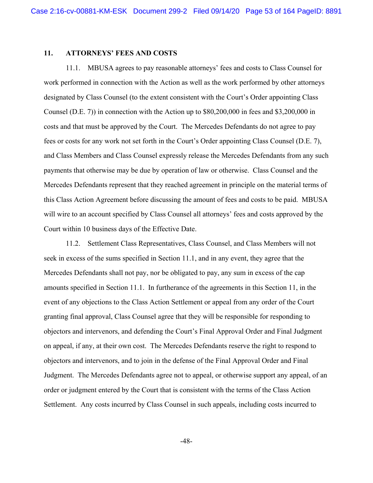### **11. ATTORNEYS' FEES AND COSTS**

11.1. MBUSA agrees to pay reasonable attorneys' fees and costs to Class Counsel for work performed in connection with the Action as well as the work performed by other attorneys designated by Class Counsel (to the extent consistent with the Court's Order appointing Class Counsel (D.E. 7)) in connection with the Action up to \$80,200,000 in fees and \$3,200,000 in costs and that must be approved by the Court. The Mercedes Defendants do not agree to pay fees or costs for any work not set forth in the Court's Order appointing Class Counsel (D.E. 7), and Class Members and Class Counsel expressly release the Mercedes Defendants from any such payments that otherwise may be due by operation of law or otherwise. Class Counsel and the Mercedes Defendants represent that they reached agreement in principle on the material terms of this Class Action Agreement before discussing the amount of fees and costs to be paid. MBUSA will wire to an account specified by Class Counsel all attorneys' fees and costs approved by the Court within 10 business days of the Effective Date.

11.2. Settlement Class Representatives, Class Counsel, and Class Members will not seek in excess of the sums specified in Section 11.1, and in any event, they agree that the Mercedes Defendants shall not pay, nor be obligated to pay, any sum in excess of the cap amounts specified in Section 11.1. In furtherance of the agreements in this Section 11, in the event of any objections to the Class Action Settlement or appeal from any order of the Court granting final approval, Class Counsel agree that they will be responsible for responding to objectors and intervenors, and defending the Court's Final Approval Order and Final Judgment on appeal, if any, at their own cost. The Mercedes Defendants reserve the right to respond to objectors and intervenors, and to join in the defense of the Final Approval Order and Final Judgment. The Mercedes Defendants agree not to appeal, or otherwise support any appeal, of an order or judgment entered by the Court that is consistent with the terms of the Class Action Settlement. Any costs incurred by Class Counsel in such appeals, including costs incurred to

-48-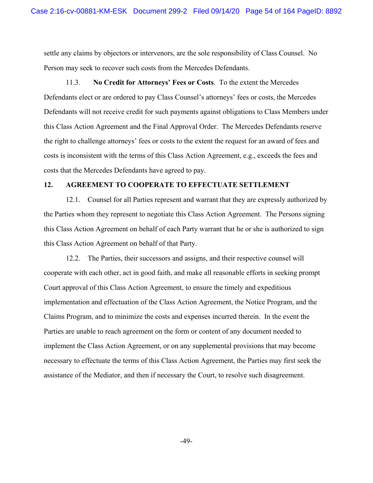settle any claims by objectors or intervenors, are the sole responsibility of Class Counsel. No Person may seek to recover such costs from the Mercedes Defendants.

11.3. **No Credit for Attorneys' Fees or Costs**.To the extent the Mercedes Defendants elect or are ordered to pay Class Counsel's attorneys' fees or costs, the Mercedes Defendants will not receive credit for such payments against obligations to Class Members under this Class Action Agreement and the Final Approval Order. The Mercedes Defendants reserve the right to challenge attorneys' fees or costs to the extent the request for an award of fees and costs is inconsistent with the terms of this Class Action Agreement, e.g., exceeds the fees and costs that the Mercedes Defendants have agreed to pay.

## **12. AGREEMENT TO COOPERATE TO EFFECTUATE SETTLEMENT**

12.1. Counsel for all Parties represent and warrant that they are expressly authorized by the Parties whom they represent to negotiate this Class Action Agreement. The Persons signing this Class Action Agreement on behalf of each Party warrant that he or she is authorized to sign this Class Action Agreement on behalf of that Party.

12.2. The Parties, their successors and assigns, and their respective counsel will cooperate with each other, act in good faith, and make all reasonable efforts in seeking prompt Court approval of this Class Action Agreement, to ensure the timely and expeditious implementation and effectuation of the Class Action Agreement, the Notice Program, and the Claims Program, and to minimize the costs and expenses incurred therein. In the event the Parties are unable to reach agreement on the form or content of any document needed to implement the Class Action Agreement, or on any supplemental provisions that may become necessary to effectuate the terms of this Class Action Agreement, the Parties may first seek the assistance of the Mediator, and then if necessary the Court, to resolve such disagreement.

-49-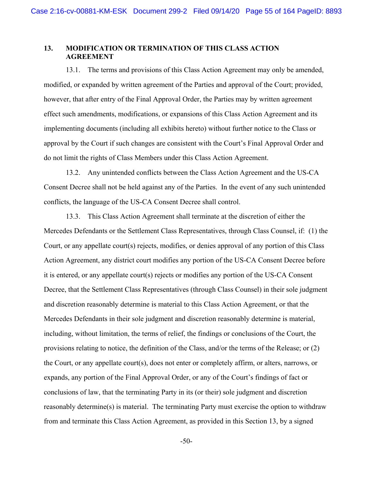# **13. MODIFICATION OR TERMINATION OF THIS CLASS ACTION AGREEMENT**

13.1. The terms and provisions of this Class Action Agreement may only be amended, modified, or expanded by written agreement of the Parties and approval of the Court; provided, however, that after entry of the Final Approval Order, the Parties may by written agreement effect such amendments, modifications, or expansions of this Class Action Agreement and its implementing documents (including all exhibits hereto) without further notice to the Class or approval by the Court if such changes are consistent with the Court's Final Approval Order and do not limit the rights of Class Members under this Class Action Agreement.

13.2. Any unintended conflicts between the Class Action Agreement and the US-CA Consent Decree shall not be held against any of the Parties. In the event of any such unintended conflicts, the language of the US-CA Consent Decree shall control.

13.3. This Class Action Agreement shall terminate at the discretion of either the Mercedes Defendants or the Settlement Class Representatives, through Class Counsel, if: (1) the Court, or any appellate court(s) rejects, modifies, or denies approval of any portion of this Class Action Agreement, any district court modifies any portion of the US-CA Consent Decree before it is entered, or any appellate court(s) rejects or modifies any portion of the US-CA Consent Decree, that the Settlement Class Representatives (through Class Counsel) in their sole judgment and discretion reasonably determine is material to this Class Action Agreement, or that the Mercedes Defendants in their sole judgment and discretion reasonably determine is material, including, without limitation, the terms of relief, the findings or conclusions of the Court, the provisions relating to notice, the definition of the Class, and/or the terms of the Release; or (2) the Court, or any appellate court(s), does not enter or completely affirm, or alters, narrows, or expands, any portion of the Final Approval Order, or any of the Court's findings of fact or conclusions of law, that the terminating Party in its (or their) sole judgment and discretion reasonably determine(s) is material. The terminating Party must exercise the option to withdraw from and terminate this Class Action Agreement, as provided in this Section 13, by a signed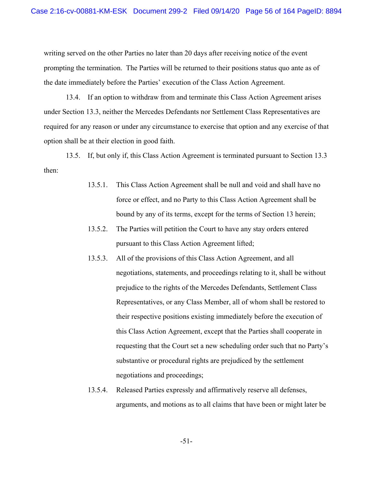writing served on the other Parties no later than 20 days after receiving notice of the event prompting the termination. The Parties will be returned to their positions status quo ante as of the date immediately before the Parties' execution of the Class Action Agreement.

13.4. If an option to withdraw from and terminate this Class Action Agreement arises under Section 13.3, neither the Mercedes Defendants nor Settlement Class Representatives are required for any reason or under any circumstance to exercise that option and any exercise of that option shall be at their election in good faith.

13.5. If, but only if, this Class Action Agreement is terminated pursuant to Section 13.3 then:

- 13.5.1. This Class Action Agreement shall be null and void and shall have no force or effect, and no Party to this Class Action Agreement shall be bound by any of its terms, except for the terms of Section 13 herein;
- 13.5.2. The Parties will petition the Court to have any stay orders entered pursuant to this Class Action Agreement lifted;
- 13.5.3. All of the provisions of this Class Action Agreement, and all negotiations, statements, and proceedings relating to it, shall be without prejudice to the rights of the Mercedes Defendants, Settlement Class Representatives, or any Class Member, all of whom shall be restored to their respective positions existing immediately before the execution of this Class Action Agreement, except that the Parties shall cooperate in requesting that the Court set a new scheduling order such that no Party's substantive or procedural rights are prejudiced by the settlement negotiations and proceedings;
- 13.5.4. Released Parties expressly and affirmatively reserve all defenses, arguments, and motions as to all claims that have been or might later be

-51-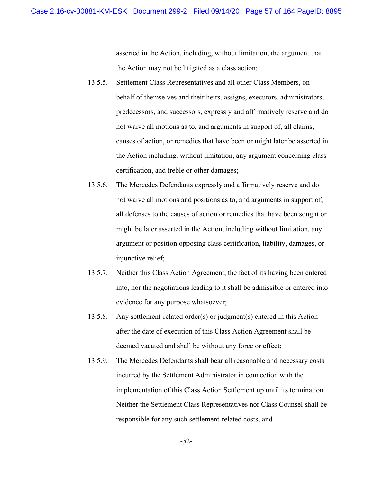asserted in the Action, including, without limitation, the argument that the Action may not be litigated as a class action;

- 13.5.5. Settlement Class Representatives and all other Class Members, on behalf of themselves and their heirs, assigns, executors, administrators, predecessors, and successors, expressly and affirmatively reserve and do not waive all motions as to, and arguments in support of, all claims, causes of action, or remedies that have been or might later be asserted in the Action including, without limitation, any argument concerning class certification, and treble or other damages;
- 13.5.6. The Mercedes Defendants expressly and affirmatively reserve and do not waive all motions and positions as to, and arguments in support of, all defenses to the causes of action or remedies that have been sought or might be later asserted in the Action, including without limitation, any argument or position opposing class certification, liability, damages, or injunctive relief;
- 13.5.7. Neither this Class Action Agreement, the fact of its having been entered into, nor the negotiations leading to it shall be admissible or entered into evidence for any purpose whatsoever;
- 13.5.8. Any settlement-related order(s) or judgment(s) entered in this Action after the date of execution of this Class Action Agreement shall be deemed vacated and shall be without any force or effect;
- 13.5.9. The Mercedes Defendants shall bear all reasonable and necessary costs incurred by the Settlement Administrator in connection with the implementation of this Class Action Settlement up until its termination. Neither the Settlement Class Representatives nor Class Counsel shall be responsible for any such settlement-related costs; and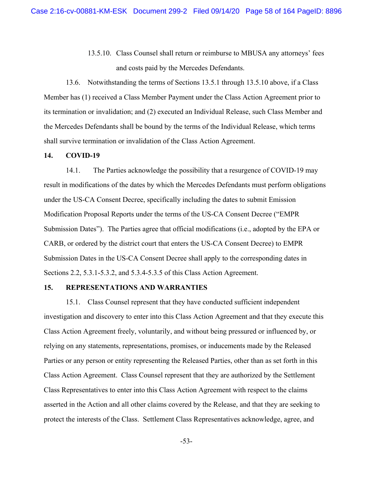13.5.10. Class Counsel shall return or reimburse to MBUSA any attorneys' fees and costs paid by the Mercedes Defendants.

13.6. Notwithstanding the terms of Sections 13.5.1 through 13.5.10 above, if a Class Member has (1) received a Class Member Payment under the Class Action Agreement prior to its termination or invalidation; and (2) executed an Individual Release, such Class Member and the Mercedes Defendants shall be bound by the terms of the Individual Release, which terms shall survive termination or invalidation of the Class Action Agreement.

### **14. COVID-19**

14.1. The Parties acknowledge the possibility that a resurgence of COVID-19 may result in modifications of the dates by which the Mercedes Defendants must perform obligations under the US-CA Consent Decree, specifically including the dates to submit Emission Modification Proposal Reports under the terms of the US-CA Consent Decree ("EMPR Submission Dates"). The Parties agree that official modifications (i.e., adopted by the EPA or CARB, or ordered by the district court that enters the US-CA Consent Decree) to EMPR Submission Dates in the US-CA Consent Decree shall apply to the corresponding dates in Sections 2.2, 5.3.1-5.3.2, and 5.3.4-5.3.5 of this Class Action Agreement.

#### **15. REPRESENTATIONS AND WARRANTIES**

15.1. Class Counsel represent that they have conducted sufficient independent investigation and discovery to enter into this Class Action Agreement and that they execute this Class Action Agreement freely, voluntarily, and without being pressured or influenced by, or relying on any statements, representations, promises, or inducements made by the Released Parties or any person or entity representing the Released Parties, other than as set forth in this Class Action Agreement. Class Counsel represent that they are authorized by the Settlement Class Representatives to enter into this Class Action Agreement with respect to the claims asserted in the Action and all other claims covered by the Release, and that they are seeking to protect the interests of the Class. Settlement Class Representatives acknowledge, agree, and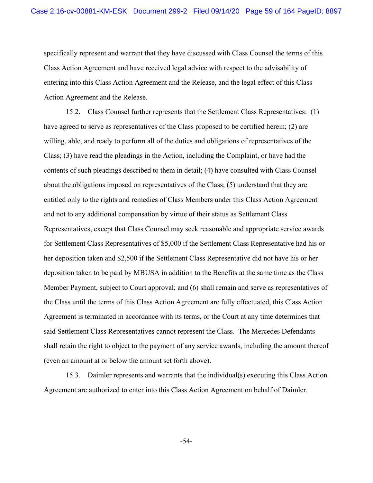specifically represent and warrant that they have discussed with Class Counsel the terms of this Class Action Agreement and have received legal advice with respect to the advisability of entering into this Class Action Agreement and the Release, and the legal effect of this Class Action Agreement and the Release.

15.2. Class Counsel further represents that the Settlement Class Representatives: (1) have agreed to serve as representatives of the Class proposed to be certified herein; (2) are willing, able, and ready to perform all of the duties and obligations of representatives of the Class; (3) have read the pleadings in the Action, including the Complaint, or have had the contents of such pleadings described to them in detail; (4) have consulted with Class Counsel about the obligations imposed on representatives of the Class; (5) understand that they are entitled only to the rights and remedies of Class Members under this Class Action Agreement and not to any additional compensation by virtue of their status as Settlement Class Representatives, except that Class Counsel may seek reasonable and appropriate service awards for Settlement Class Representatives of \$5,000 if the Settlement Class Representative had his or her deposition taken and \$2,500 if the Settlement Class Representative did not have his or her deposition taken to be paid by MBUSA in addition to the Benefits at the same time as the Class Member Payment, subject to Court approval; and (6) shall remain and serve as representatives of the Class until the terms of this Class Action Agreement are fully effectuated, this Class Action Agreement is terminated in accordance with its terms, or the Court at any time determines that said Settlement Class Representatives cannot represent the Class. The Mercedes Defendants shall retain the right to object to the payment of any service awards, including the amount thereof (even an amount at or below the amount set forth above).

15.3. Daimler represents and warrants that the individual(s) executing this Class Action Agreement are authorized to enter into this Class Action Agreement on behalf of Daimler.

-54-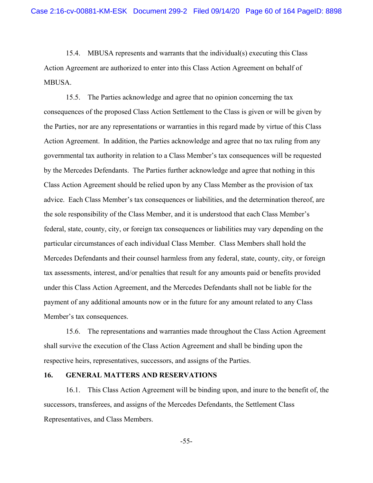15.4. MBUSA represents and warrants that the individual(s) executing this Class Action Agreement are authorized to enter into this Class Action Agreement on behalf of MBUSA.

15.5. The Parties acknowledge and agree that no opinion concerning the tax consequences of the proposed Class Action Settlement to the Class is given or will be given by the Parties, nor are any representations or warranties in this regard made by virtue of this Class Action Agreement. In addition, the Parties acknowledge and agree that no tax ruling from any governmental tax authority in relation to a Class Member's tax consequences will be requested by the Mercedes Defendants. The Parties further acknowledge and agree that nothing in this Class Action Agreement should be relied upon by any Class Member as the provision of tax advice. Each Class Member's tax consequences or liabilities, and the determination thereof, are the sole responsibility of the Class Member, and it is understood that each Class Member's federal, state, county, city, or foreign tax consequences or liabilities may vary depending on the particular circumstances of each individual Class Member. Class Members shall hold the Mercedes Defendants and their counsel harmless from any federal, state, county, city, or foreign tax assessments, interest, and/or penalties that result for any amounts paid or benefits provided under this Class Action Agreement, and the Mercedes Defendants shall not be liable for the payment of any additional amounts now or in the future for any amount related to any Class Member's tax consequences.

15.6. The representations and warranties made throughout the Class Action Agreement shall survive the execution of the Class Action Agreement and shall be binding upon the respective heirs, representatives, successors, and assigns of the Parties.

### **16. GENERAL MATTERS AND RESERVATIONS**

16.1. This Class Action Agreement will be binding upon, and inure to the benefit of, the successors, transferees, and assigns of the Mercedes Defendants, the Settlement Class Representatives, and Class Members.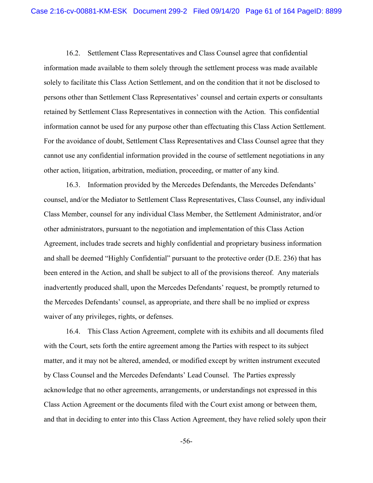16.2. Settlement Class Representatives and Class Counsel agree that confidential information made available to them solely through the settlement process was made available solely to facilitate this Class Action Settlement, and on the condition that it not be disclosed to persons other than Settlement Class Representatives' counsel and certain experts or consultants retained by Settlement Class Representatives in connection with the Action. This confidential information cannot be used for any purpose other than effectuating this Class Action Settlement. For the avoidance of doubt, Settlement Class Representatives and Class Counsel agree that they cannot use any confidential information provided in the course of settlement negotiations in any other action, litigation, arbitration, mediation, proceeding, or matter of any kind.

16.3. Information provided by the Mercedes Defendants, the Mercedes Defendants' counsel, and/or the Mediator to Settlement Class Representatives, Class Counsel, any individual Class Member, counsel for any individual Class Member, the Settlement Administrator, and/or other administrators, pursuant to the negotiation and implementation of this Class Action Agreement, includes trade secrets and highly confidential and proprietary business information and shall be deemed "Highly Confidential" pursuant to the protective order (D.E. 236) that has been entered in the Action, and shall be subject to all of the provisions thereof. Any materials inadvertently produced shall, upon the Mercedes Defendants' request, be promptly returned to the Mercedes Defendants' counsel, as appropriate, and there shall be no implied or express waiver of any privileges, rights, or defenses.

16.4. This Class Action Agreement, complete with its exhibits and all documents filed with the Court, sets forth the entire agreement among the Parties with respect to its subject matter, and it may not be altered, amended, or modified except by written instrument executed by Class Counsel and the Mercedes Defendants' Lead Counsel. The Parties expressly acknowledge that no other agreements, arrangements, or understandings not expressed in this Class Action Agreement or the documents filed with the Court exist among or between them, and that in deciding to enter into this Class Action Agreement, they have relied solely upon their

-56-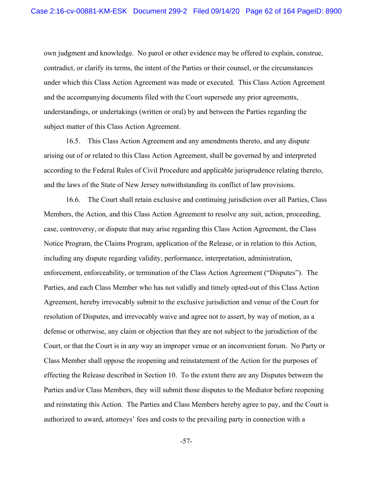own judgment and knowledge. No parol or other evidence may be offered to explain, construe, contradict, or clarify its terms, the intent of the Parties or their counsel, or the circumstances under which this Class Action Agreement was made or executed. This Class Action Agreement and the accompanying documents filed with the Court supersede any prior agreements, understandings, or undertakings (written or oral) by and between the Parties regarding the subject matter of this Class Action Agreement.

16.5. This Class Action Agreement and any amendments thereto, and any dispute arising out of or related to this Class Action Agreement, shall be governed by and interpreted according to the Federal Rules of Civil Procedure and applicable jurisprudence relating thereto, and the laws of the State of New Jersey notwithstanding its conflict of law provisions.

16.6. The Court shall retain exclusive and continuing jurisdiction over all Parties, Class Members, the Action, and this Class Action Agreement to resolve any suit, action, proceeding, case, controversy, or dispute that may arise regarding this Class Action Agreement, the Class Notice Program, the Claims Program, application of the Release, or in relation to this Action, including any dispute regarding validity, performance, interpretation, administration, enforcement, enforceability, or termination of the Class Action Agreement ("Disputes"). The Parties, and each Class Member who has not validly and timely opted-out of this Class Action Agreement, hereby irrevocably submit to the exclusive jurisdiction and venue of the Court for resolution of Disputes, and irrevocably waive and agree not to assert, by way of motion, as a defense or otherwise, any claim or objection that they are not subject to the jurisdiction of the Court, or that the Court is in any way an improper venue or an inconvenient forum. No Party or Class Member shall oppose the reopening and reinstatement of the Action for the purposes of effecting the Release described in Section 10. To the extent there are any Disputes between the Parties and/or Class Members, they will submit those disputes to the Mediator before reopening and reinstating this Action. The Parties and Class Members hereby agree to pay, and the Court is authorized to award, attorneys' fees and costs to the prevailing party in connection with a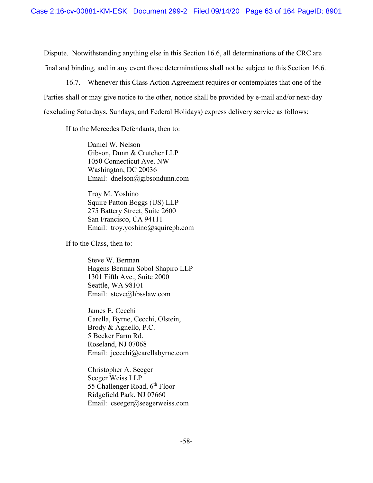Dispute. Notwithstanding anything else in this Section 16.6, all determinations of the CRC are final and binding, and in any event those determinations shall not be subject to this Section 16.6.

16.7. Whenever this Class Action Agreement requires or contemplates that one of the Parties shall or may give notice to the other, notice shall be provided by e-mail and/or next-day (excluding Saturdays, Sundays, and Federal Holidays) express delivery service as follows:

If to the Mercedes Defendants, then to:

Daniel W. Nelson Gibson, Dunn & Crutcher LLP 1050 Connecticut Ave. NW Washington, DC 20036 Email: dnelson@gibsondunn.com

Troy M. Yoshino Squire Patton Boggs (US) LLP 275 Battery Street, Suite 2600 San Francisco, CA 94111 Email: troy.yoshino@squirepb.com

If to the Class, then to:

Steve W. Berman Hagens Berman Sobol Shapiro LLP 1301 Fifth Ave., Suite 2000 Seattle, WA 98101 Email: steve@hbsslaw.com

James E. Cecchi Carella, Byrne, Cecchi, Olstein, Brody & Agnello, P.C. 5 Becker Farm Rd. Roseland, NJ 07068 Email: jcecchi@carellabyrne.com

Christopher A. Seeger Seeger Weiss LLP 55 Challenger Road,  $6<sup>th</sup>$  Floor Ridgefield Park, NJ 07660 Email: cseeger@seegerweiss.com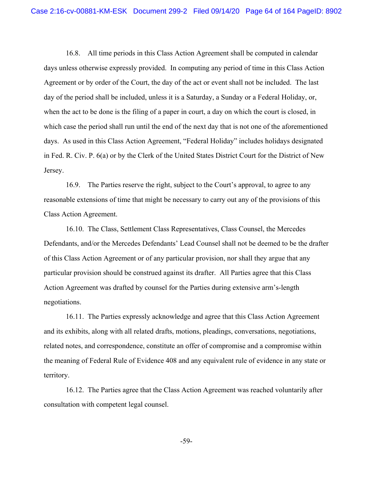16.8. All time periods in this Class Action Agreement shall be computed in calendar days unless otherwise expressly provided. In computing any period of time in this Class Action Agreement or by order of the Court, the day of the act or event shall not be included. The last day of the period shall be included, unless it is a Saturday, a Sunday or a Federal Holiday, or, when the act to be done is the filing of a paper in court, a day on which the court is closed, in which case the period shall run until the end of the next day that is not one of the aforementioned days. As used in this Class Action Agreement, "Federal Holiday" includes holidays designated in Fed. R. Civ. P. 6(a) or by the Clerk of the United States District Court for the District of New Jersey.

16.9. The Parties reserve the right, subject to the Court's approval, to agree to any reasonable extensions of time that might be necessary to carry out any of the provisions of this Class Action Agreement.

16.10. The Class, Settlement Class Representatives, Class Counsel, the Mercedes Defendants, and/or the Mercedes Defendants' Lead Counsel shall not be deemed to be the drafter of this Class Action Agreement or of any particular provision, nor shall they argue that any particular provision should be construed against its drafter. All Parties agree that this Class Action Agreement was drafted by counsel for the Parties during extensive arm's-length negotiations.

16.11. The Parties expressly acknowledge and agree that this Class Action Agreement and its exhibits, along with all related drafts, motions, pleadings, conversations, negotiations, related notes, and correspondence, constitute an offer of compromise and a compromise within the meaning of Federal Rule of Evidence 408 and any equivalent rule of evidence in any state or territory.

16.12. The Parties agree that the Class Action Agreement was reached voluntarily after consultation with competent legal counsel.

-59-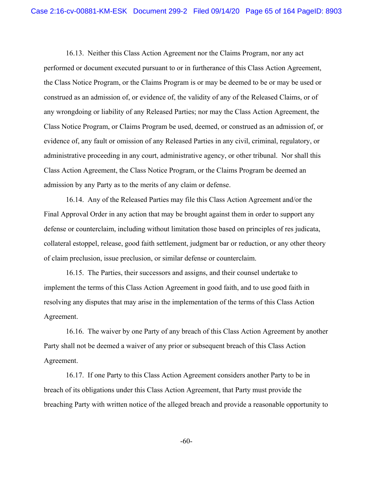16.13. Neither this Class Action Agreement nor the Claims Program, nor any act performed or document executed pursuant to or in furtherance of this Class Action Agreement, the Class Notice Program, or the Claims Program is or may be deemed to be or may be used or construed as an admission of, or evidence of, the validity of any of the Released Claims, or of any wrongdoing or liability of any Released Parties; nor may the Class Action Agreement, the Class Notice Program, or Claims Program be used, deemed, or construed as an admission of, or evidence of, any fault or omission of any Released Parties in any civil, criminal, regulatory, or administrative proceeding in any court, administrative agency, or other tribunal. Nor shall this Class Action Agreement, the Class Notice Program, or the Claims Program be deemed an admission by any Party as to the merits of any claim or defense.

16.14. Any of the Released Parties may file this Class Action Agreement and/or the Final Approval Order in any action that may be brought against them in order to support any defense or counterclaim, including without limitation those based on principles of res judicata, collateral estoppel, release, good faith settlement, judgment bar or reduction, or any other theory of claim preclusion, issue preclusion, or similar defense or counterclaim.

16.15. The Parties, their successors and assigns, and their counsel undertake to implement the terms of this Class Action Agreement in good faith, and to use good faith in resolving any disputes that may arise in the implementation of the terms of this Class Action Agreement.

16.16. The waiver by one Party of any breach of this Class Action Agreement by another Party shall not be deemed a waiver of any prior or subsequent breach of this Class Action Agreement.

16.17. If one Party to this Class Action Agreement considers another Party to be in breach of its obligations under this Class Action Agreement, that Party must provide the breaching Party with written notice of the alleged breach and provide a reasonable opportunity to

-60-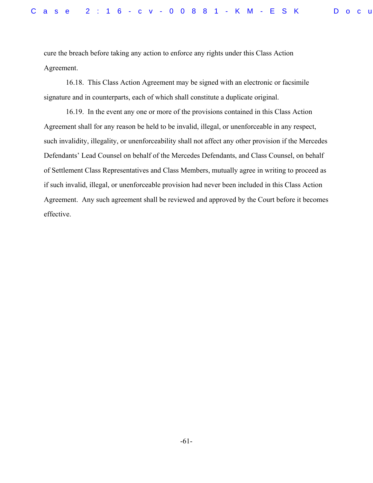cure the breach before taking any action to enforce any rights under this Class Action Agreement.

16.18. This Class Action Agreement may be signed with an electronic or facsimile signature and in counterparts, each of which shall constitute a duplicate original.

16.19. In the event any one or more of the provisions contained in this Class Action Agreement shall for any reason be held to be invalid, illegal, or unenforceable in any respect, such invalidity, illegality, or unenforceability shall not affect any other provision if the Mercedes Defendants' Lead Counsel on behalf of the Mercedes Defendants, and Class Counsel, on behalf of Settlement Class Representatives and Class Members, mutually agree in writing to proceed as if such invalid, illegal, or unenforceable provision had never been included in this Class Action Agreement. Any such agreement shall be reviewed and approved by the Court before it becomes effective.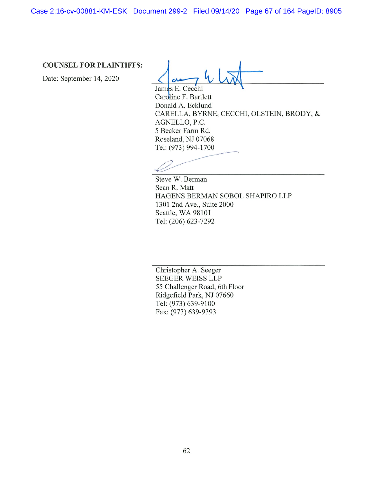Case 2:16-cv-00881-KM-ESK Document 299-2 Filed 09/14/20 Page 67 of 164 PageID: 8905

# **COUNSEL FOR PLAINTIFFS:**

Date: September 14, 2020

James E. Cecchi

Caroline F. Bartlett Donald A. Ecklund CARELLA, BYRNE, CECCHI, OLSTEIN, BRODY, & AGNELLO, P.C. 5 Becker Farm Rd. Roseland, NJ 07068 Tel: (973) 994-1700

Steve W. Berman Sean R. Matt HAGENS BERMAN SOBOL SHAPIRO LLP 1301 2nd Ave., Suite 2000 Seattle, WA 98101 Tel: (206) 623-7292

Christopher A. Seeger **SEEGER WEISS LLP** 55 Challenger Road, 6th Floor Ridgefield Park, NJ 07660 Tel: (973) 639-9100 Fax: (973) 639-9393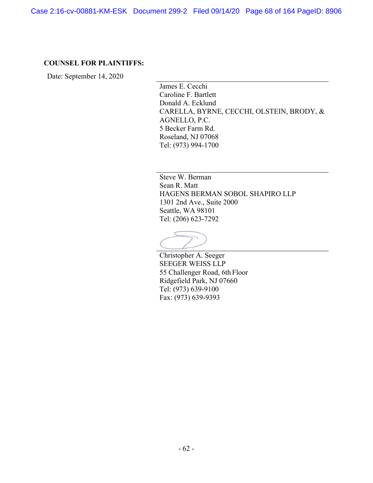Case 2:16-cv-00881-KM-ESK Document 299-2 Filed 09/14/20 Page 68 of 164 PageID: 8906

### **COUNSEL FOR PLAINTIFFS:**

Date: September 14, 2020

James E. Cecchi Caroline F. Bartlett Donald A. Ecklund CARELLA, BYRNE, CECCHI, OLSTEIN, BRODY, & AGNELLO, P.C. 5 Becker Farm Rd. Roseland, NJ 07068 Tel: (973) 994-1700

Steve W. Berman Sean R. Matt HAGENS BERMAN SOBOL SHAPIRO LLP 1301 2nd Ave., Suite 2000 Seattle, WA 98101 Tel: (206) 623-7292

Christopher A. Seeger SEEGER WEISS LLP 55 Challenger Road, 6th Floor Ridgefield Park, NJ 07660 Tel: (973) 639-9100 Fax: (973) 639-9393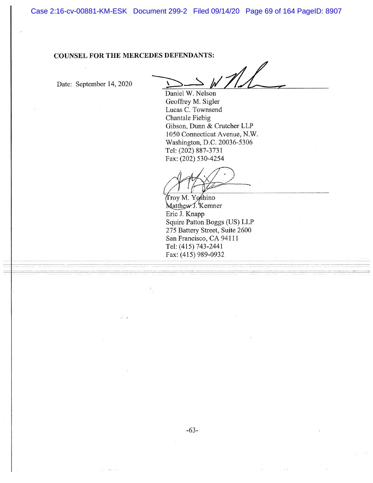Case 2:16-cv-00881-KM-ESK Document 299-2 Filed 09/14/20 Page 69 of 164 PageID: 8907

# **COUNSEL FOR THE MERCEDES DEFENDANTS:**

والأنو

Date: September 14, 2020

 $\mathscr{M}$ 

Daniel W. Nelson Geoffrey M. Sigler Lucas C. Townsend Chantale Fiebig Gibson, Dunn & Crutcher LLP 1050 Connecticut Avenue, N.W. Washington, D.C. 20036-5306 Tel: (202) 887-3731 Fax: (202) 530-4254

Troy M. Yoshino Matthew J. Kemner Eric J. Knapp Squire Patton Boggs (US) LLP 275 Battery Street, Suite 2600 San Francisco, CA 94111 Tel: (415) 743-2441 Fax: (415) 989-0932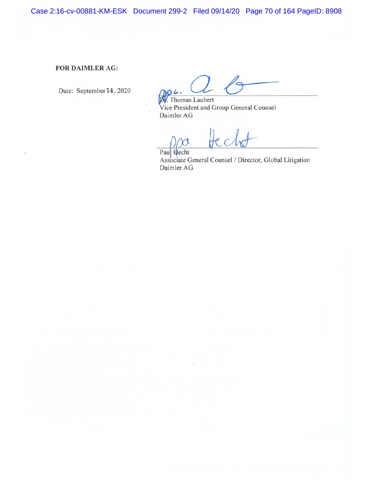Case 2:16-cv-00881-KM-ESK Document 299-2 Filed 09/14/20 Page 70 of 164 PageID: 8908

## FOR DAIMLER AG:

Date: September 14, 2020

**DV**. Thomas Laubert Vice President and Group General Counsel Daimler AG

A

Paul Hecht Associate General Counsel / Director, Global Litigation Daimler AG